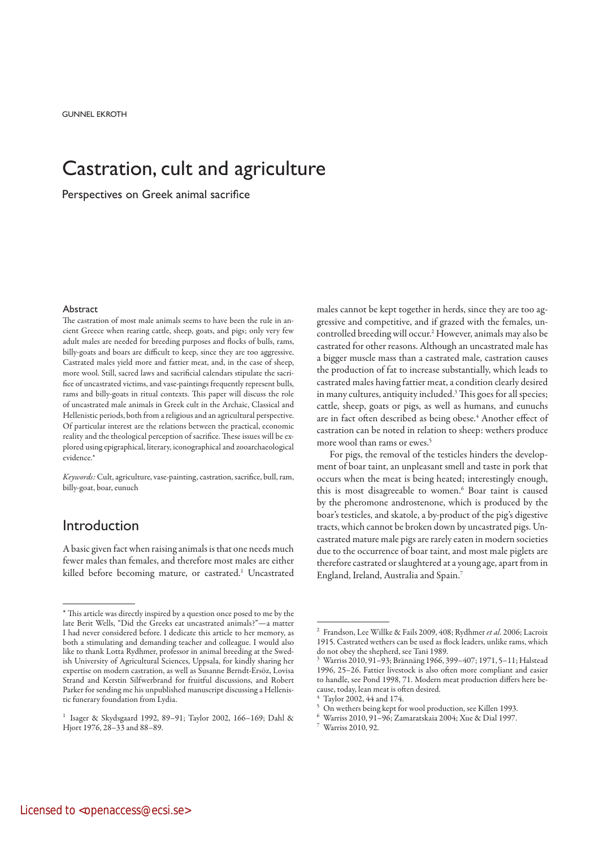GUNNEL EKROTH

# Castration, cult and agriculture

Perspectives on Greek animal sacrifice

# **Abstract**

The castration of most male animals seems to have been the rule in ancient Greece when rearing cattle, sheep, goats, and pigs; only very few adult males are needed for breeding purposes and flocks of bulls, rams, billy-goats and boars are difficult to keep, since they are too aggressive. Castrated males yield more and fattier meat, and, in the case of sheep, more wool. Still, sacred laws and sacrificial calendars stipulate the sacrifice of uncastrated victims, and vase-paintings frequently represent bulls, rams and billy-goats in ritual contexts. This paper will discuss the role of uncastrated male animals in Greek cult in the Archaic, Classical and Hellenistic periods, both from a religious and an agricultural perspective. Of particular interest are the relations between the practical, economic reality and the theological perception of sacrifice. These issues will be explored using epigraphical, literary, iconographical and zooarchaeological evidence.\*

*Keywords:* Cult, agriculture, vase-painting, castration, sacrifice, bull, ram, billy-goat, boar, eunuch

# Introduction

A basic given fact when raising animals is that one needs much fewer males than females, and therefore most males are either killed before becoming mature, or castrated.<sup>1</sup> Uncastrated males cannot be kept together in herds, since they are too aggressive and competitive, and if grazed with the females, uncontrolled breeding will occur.2 However, animals may also be castrated for other reasons. Although an uncastrated male has a bigger muscle mass than a castrated male, castration causes the production of fat to increase substantially, which leads to castrated males having fattier meat, a condition clearly desired in many cultures, antiquity included.3 This goes for all species; cattle, sheep, goats or pigs, as well as humans, and eunuchs are in fact often described as being obese.<sup>4</sup> Another effect of castration can be noted in relation to sheep: wethers produce more wool than rams or ewes.5

For pigs, the removal of the testicles hinders the development of boar taint, an unpleasant smell and taste in pork that occurs when the meat is being heated; interestingly enough, this is most disagreeable to women.<sup>6</sup> Boar taint is caused by the pheromone androstenone, which is produced by the boar's testicles, and skatole, a by-product of the pig's digestive tracts, which cannot be broken down by uncastrated pigs. Uncastrated mature male pigs are rarely eaten in modern societies due to the occurrence of boar taint, and most male piglets are therefore castrated or slaughtered at a young age, apart from in England, Ireland, Australia and Spain.7

<sup>\*</sup> This article was directly inspired by a question once posed to me by the late Berit Wells, "Did the Greeks eat uncastrated animals?"—a matter I had never considered before. I dedicate this article to her memory, as both a stimulating and demanding teacher and colleague. I would also like to thank Lotta Rydhmer, professor in animal breeding at the Swedish University of Agricultural Sciences, Uppsala, for kindly sharing her expertise on modern castration, as well as Susanne Berndt-Ersöz, Lovisa Strand and Kerstin Silfwerbrand for fruitful discussions, and Robert Parker for sending me his unpublished manuscript discussing a Hellenistic funerary foundation from Lydia.

<sup>1</sup> Isager & Skydsgaard 1992, 89–91; Taylor 2002, 166–169; Dahl & Hjort 1976, 28–33 and 88–89.

<sup>2</sup> Frandson, Lee Willke & Fails 2009, 408; Rydhmer *et al*. 2006; Lacroix 1915. Castrated wethers can be used as flock leaders, unlike rams, which do not obey the shepherd, see Tani 1989.

<sup>3</sup> Warriss 2010, 91–93; Brännäng 1966, 399–407; 1971, 5–11; Halstead 1996, 25–26. Fattier livestock is also often more compliant and easier to handle, see Pond 1998, 71. Modern meat production differs here because, today, lean meat is often desired.

<sup>4</sup> Taylor 2002, 44 and 174.

<sup>5</sup> On wethers being kept for wool production, see Killen 1993.

<sup>6</sup> Warriss 2010, 91–96; Zamaratskaia 2004; Xue & Dial 1997.

Warriss 2010, 92.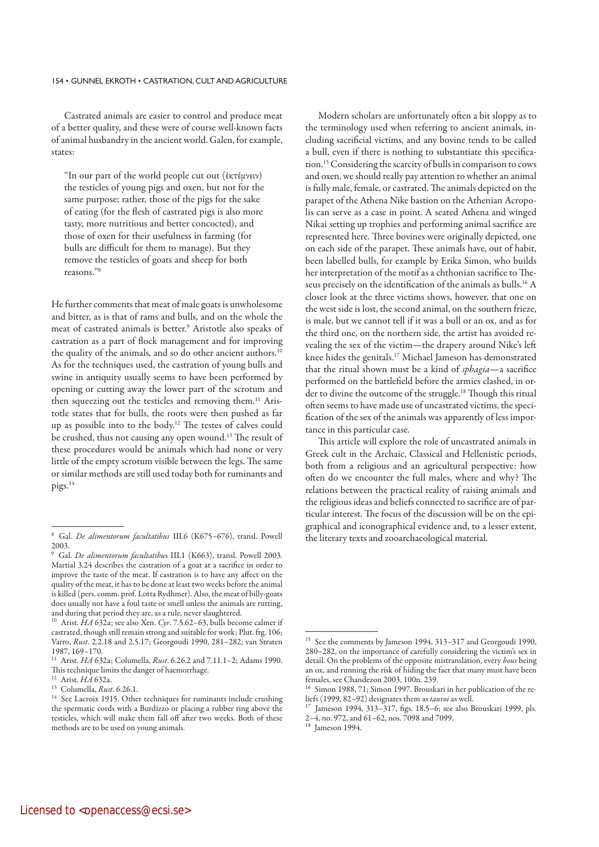### 154 • GUNNEL EKROTH • CASTRATION, CULT AND AGRICULTURE

Castrated animals are easier to control and produce meat of a better quality, and these were of course well-known facts of animal husbandry in the ancient world. Galen, for example, states:

"In our part of the world people cut out (ἐκτέμνειν) the testicles of young pigs and oxen, but not for the same purpose; rather, those of the pigs for the sake of eating (for the flesh of castrated pigs is also more tasty, more nutritious and better concocted), and those of oxen for their usefulness in farming (for bulls are difficult for them to manage). But they remove the testicles of goats and sheep for both reasons."8

He further comments that meat of male goats is unwholesome and bitter, as is that of rams and bulls, and on the whole the meat of castrated animals is better.<sup>9</sup> Aristotle also speaks of castration as a part of flock management and for improving the quality of the animals, and so do other ancient authors.<sup>10</sup> As for the techniques used, the castration of young bulls and swine in antiquity usually seems to have been performed by opening or cutting away the lower part of the scrotum and then squeezing out the testicles and removing them.<sup>11</sup> Aristotle states that for bulls, the roots were then pushed as far up as possible into to the body.12 The testes of calves could be crushed, thus not causing any open wound.<sup>13</sup> The result of these procedures would be animals which had none or very little of the empty scrotum visible between the legs. The same or similar methods are still used today both for ruminants and pigs.14

Modern scholars are unfortunately often a bit sloppy as to the terminology used when referring to ancient animals, including sacrificial victims, and any bovine tends to be called a bull, even if there is nothing to substantiate this specification.15 Considering the scarcity of bulls in comparison to cows and oxen, we should really pay attention to whether an animal is fully male, female, or castrated. The animals depicted on the parapet of the Athena Nike bastion on the Athenian Acropolis can serve as a case in point. A seated Athena and winged Nikai setting up trophies and performing animal sacrifice are represented here. Three bovines were originally depicted, one on each side of the parapet. These animals have, out of habit, been labelled bulls, for example by Erika Simon, who builds her interpretation of the motif as a chthonian sacrifice to Theseus precisely on the identification of the animals as bulls.16 A closer look at the three victims shows, however, that one on the west side is lost, the second animal, on the southern frieze, is male, but we cannot tell if it was a bull or an ox, and as for the third one, on the northern side, the artist has avoided revealing the sex of the victim—the drapery around Nike's left knee hides the genitals.17 Michael Jameson has demonstrated that the ritual shown must be a kind of *sphagia*—a sacrifice performed on the battlefield before the armies clashed, in order to divine the outcome of the struggle.<sup>18</sup> Though this ritual often seems to have made use of uncastrated victims, the specification of the sex of the animals was apparently of less importance in this particular case.

This article will explore the role of uncastrated animals in Greek cult in the Archaic, Classical and Hellenistic periods, both from a religious and an agricultural perspective: how often do we encounter the full males, where and why? The relations between the practical reality of raising animals and the religious ideas and beliefs connected to sacrifice are of particular interest. The focus of the discussion will be on the epigraphical and iconographical evidence and, to a lesser extent, the literary texts and zooarchaeological material.

<sup>8</sup> Gal. *De alimentorum facultatibus* III.6 (K675–676), transl. Powell 2003.

<sup>9</sup> Gal. *De alimentorum facultatibu*s III.1 (K663), transl. Powell 2003. Martial 3.24 describes the castration of a goat at a sacrifice in order to improve the taste of the meat. If castration is to have any affect on the quality of the meat, it has to be done at least two weeks before the animal is killed (pers. comm. prof. Lotta Rydhmer). Also, the meat of billy-goats does usually not have a foul taste or smell unless the animals are rutting, and during that period they are, as a rule, never slaughtered.

<sup>10</sup> Arist. *HA* 632a; see also Xen. *Cyr*. 7.5.62–63, bulls become calmer if castrated, though still remain strong and suitable for work; Plut. frg. 106; Varro, *Rust*. 2.2.18 and 2.5.17; Georgoudi 1990, 281–282; van Straten 1987, 169–170.

<sup>11</sup> Arist. *HA* 632a; Columella, *Rust*. 6.26.2 and 7.11.1–2; Adams 1990. This technique limits the danger of haemorrhage.

<sup>12</sup> Arist. *HA* 632a.

<sup>13</sup> Columella, *Rust*. 6.26.1.

<sup>&</sup>lt;sup>14</sup> See Lacroix 1915. Other techniques for ruminants include crushing the spermatic cords with a Burdizzo or placing a rubber ring above the testicles, which will make them fall off after two weeks. Both of these methods are to be used on young animals.

<sup>&</sup>lt;sup>15</sup> See the comments by Jameson 1994, 313-317 and Georgoudi 1990, 280–282, on the importance of carefully considering the victim's sex in detail. On the problems of the opposite mistranslation, every *bous* being an ox, and running the risk of hiding the fact that many must have been females, see Chandezon 2003, 100n. 239.

Simon 1988, 71; Simon 1997. Brouskari in her publication of the reliefs (1999, 82–92) designates them as *tauroi* as well.

<sup>17</sup> Jameson 1994, 313–317, figs. 18.5–6; see also Brouskari 1999, pls. 2–4, no. 972, and 61–62, nos.  $\bar{7}098$  and 7099.<br><sup>18</sup> Jameson 1994

Jameson 1994.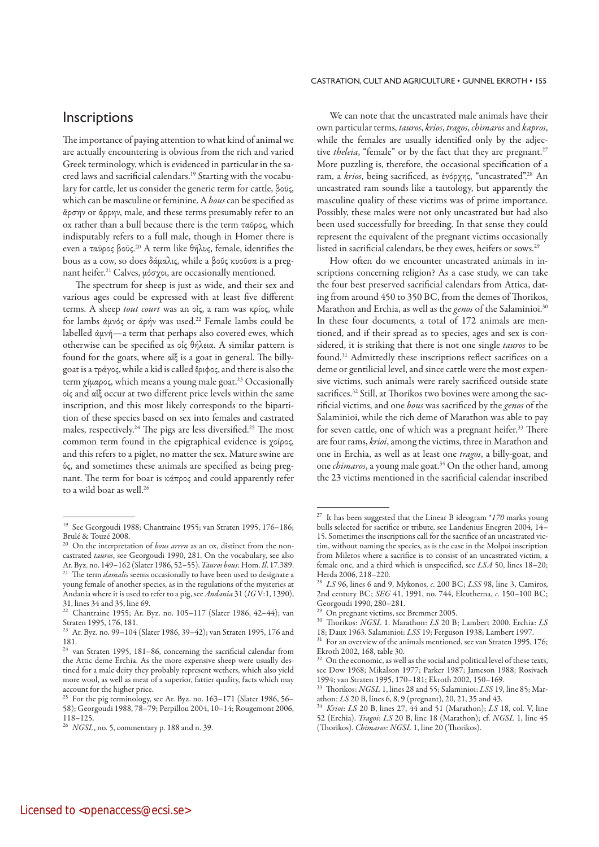# **Inscriptions**

The importance of paying attention to what kind of animal we are actually encountering is obvious from the rich and varied Greek terminology, which is evidenced in particular in the sacred laws and sacrificial calendars.19 Starting with the vocabulary for cattle, let us consider the generic term for cattle, βοῦς, which can be masculine or feminine. A *bous* can be specified as ἄρσην or ἄρρην, male, and these terms presumably refer to an ox rather than a bull because there is the term ταῦρος, which indisputably refers to a full male, though in Homer there is even a ταῦρος βοῦς.20 A term like θῆλυς, female, identifies the bous as a cow, so does δάμαλις, while a βοῦς κυοῦσα is a pregnant heifer.21 Calves, μόσχοι, are occasionally mentioned.

The spectrum for sheep is just as wide, and their sex and various ages could be expressed with at least five different terms. A sheep *tout court* was an οἶς, a ram was κρίος, while for lambs ἀμνός or ἀρήν was used.22 Female lambs could be labelled ἀμνή—a term that perhaps also covered ewes, which otherwise can be specified as οἶς θήλεια. A similar pattern is found for the goats, where αἶξ is a goat in general. The billygoat is a τράγος, while a kid is called ἔριφος, and there is also the term χίμαρος, which means a young male goat.23 Occasionally οἶς and αἶξ occur at two different price levels within the same inscription, and this most likely corresponds to the bipartition of these species based on sex into females and castrated males, respectively.24 The pigs are less diversified.25 The most common term found in the epigraphical evidence is χοῖρος, and this refers to a piglet, no matter the sex. Mature swine are ὗς, and sometimes these animals are specified as being pregnant. The term for boar is κάπρος and could apparently refer to a wild boar as well.<sup>26</sup>

## CASTRATION, CULT AND AGRICULTURE . GUNNEL FKROTH . 155

We can note that the uncastrated male animals have their own particular terms, *tauros*, *krios*, *tragos*, *chimaros* and *kapros*, while the females are usually identified only by the adjective *theleia*, "female" or by the fact that they are pregnant.<sup>27</sup> More puzzling is, therefore, the occasional specification of a ram, a *krios*, being sacrificed, as ἐνόρχης, "uncastrated".28 An uncastrated ram sounds like a tautology, but apparently the masculine quality of these victims was of prime importance. Possibly, these males were not only uncastrated but had also been used successfully for breeding. In that sense they could represent the equivalent of the pregnant victims occasionally listed in sacrificial calendars, be they ewes, heifers or sows.29

How often do we encounter uncastrated animals in inscriptions concerning religion? As a case study, we can take the four best preserved sacrificial calendars from Attica, dating from around 450 to 350 BC, from the demes of Thorikos, Marathon and Erchia, as well as the *genos* of the Salaminioi.30 In these four documents, a total of 172 animals are mentioned, and if their spread as to species, ages and sex is considered, it is striking that there is not one single *tauros* to be found.31 Admittedly these inscriptions reflect sacrifices on a deme or gentilicial level, and since cattle were the most expensive victims, such animals were rarely sacrificed outside state sacrifices.<sup>32</sup> Still, at Thorikos two bovines were among the sacrificial victims, and one *bous* was sacrificed by the *genos* of the Salaminioi, while the rich deme of Marathon was able to pay for seven cattle, one of which was a pregnant heifer.<sup>33</sup> There are four rams, *krioi*, among the victims, three in Marathon and one in Erchia, as well as at least one *tragos*, a billy-goat, and one *chimaros*, a young male goat.34 On the other hand, among the 23 victims mentioned in the sacrificial calendar inscribed

<sup>19</sup> See Georgoudi 1988; Chantraine 1955; van Straten 1995, 176–186; Brulé & Touzé 2008.

<sup>20</sup> On the interpretation of *bous arren* as an ox, distinct from the noncastrated *tauros*, see Georgoudi 1990, 281. On the vocabulary, see also Ar. Byz. no. 149–162 (Slater 1986, 52–55). *Tauros bous*: Hom. *Il*. 17.389.

<sup>&</sup>lt;sup>21</sup> The term *damalis* seems occasionally to have been used to designate a young female of another species, as in the regulations of the mysteries at Andania where it is used to refer to a pig, see *Andania* 31 (*IG* V:1, 1390), 31, lines 34 and 35, line 69.

<sup>&</sup>lt;sup>22</sup> Chantraine 1955; Ar. Byz. no. 105–117 (Slater 1986, 42–44); van Straten 1995, 176, 181.

<sup>&</sup>lt;sup>23</sup> Ar. Byz. no. 99–104 (Slater 1986, 39–42); van Straten 1995, 176 and 181.

<sup>24</sup> van Straten 1995, 181–86, concerning the sacrificial calendar from the Attic deme Erchia. As the more expensive sheep were usually destined for a male deity they probably represent wethers, which also yield more wool, as well as meat of a superior, fattier quality, facts which may account for the higher price.

 $25$  For the pig terminology, see Ar. Byz. no. 163–171 (Slater 1986, 56– 58); Georgoudi 1988, 78–79; Perpillou 2004, 10–14; Rougemont 2006, 118–125.

<sup>26</sup>*NGSL*, no. 5, commentary p. 188 and n. 39.

<sup>27</sup> It has been suggested that the Linear B ideogram \**170* marks young bulls selected for sacrifice or tribute, see Landenius Enegren 2004, 14– 15. Sometimes the inscriptions call for the sacrifice of an uncastrated victim, without naming the species, as is the case in the Molpoi inscription from Miletos where a sacrifice is to consist of an uncastrated victim, a female one, and a third which is unspecified, see *LSA* 50, lines 18–20; Herda 2006, 218–220.

<sup>28</sup>*LS* 96, lines 6 and 9, Mykonos, *c*. 200 BC; *LSS* 98, line 3, Camiros, 2nd century BC; *SEG* 41, 1991, no. 744, Eleutherna, *c*. 150–100 BC; Georgoudi 1990, 280–281.

<sup>&</sup>lt;sup>29</sup> On pregnant victims, see Bremmer 2005.<br><sup>30</sup> Thorikos:  $NGSL$  1 Marathon:  $US20$  B.

<sup>30</sup> Thorikos: *NGSL* 1. Marathon: *LS* 20 B; Lambert 2000. Erchia: *LS* 18; Daux 1963. Salaminioi: *LSS* 19; Ferguson 1938; Lambert 1997.

 $31$  For an overview of the animals mentioned, see van Straten 1995, 176; Ekroth 2002, 168, table 30.

On the economic, as well as the social and political level of these texts, see Dow 1968; Mikalson 1977; Parker 1987; Jameson 1988; Rosivach 1994; van Straten 1995, 170–181; Ekroth 2002, 150–169.

<sup>33</sup> Thorikos: *NGSL* 1, lines 28 and 55; Salaminioi: *LSS* 19, line 85; Marathon: *LS* 20 B, lines 6, 8, 9 (pregnant), 20, 21, 35 and 43.

<sup>34</sup>*Krioi*: *LS* 20 B, lines 27, 44 and 51 (Marathon); *LS* 18, col. V, line 52 (Erchia). *Tragoi*: *LS* 20 B, line 18 (Marathon); cf. *NGSL* 1, line 45 (Thorikos). *Chimaros*: *NGSL* 1, line 20 (Thorikos).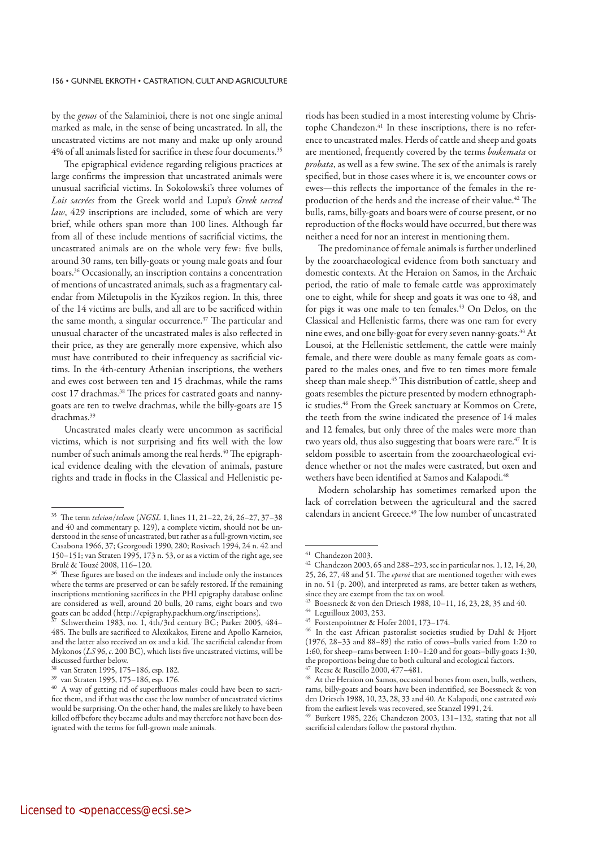by the *genos* of the Salaminioi, there is not one single animal marked as male, in the sense of being uncastrated. In all, the uncastrated victims are not many and make up only around 4% of all animals listed for sacrifice in these four documents.<sup>35</sup>

The epigraphical evidence regarding religious practices at large confirms the impression that uncastrated animals were unusual sacrificial victims. In Sokolowski's three volumes of *Lois sacrées* from the Greek world and Lupu's *Greek sacred law*, 429 inscriptions are included, some of which are very brief, while others span more than 100 lines. Although far from all of these include mentions of sacrificial victims, the uncastrated animals are on the whole very few: five bulls, around 30 rams, ten billy-goats or young male goats and four boars.36 Occasionally, an inscription contains a concentration of mentions of uncastrated animals, such as a fragmentary calendar from Miletupolis in the Kyzikos region. In this, three of the 14 victims are bulls, and all are to be sacrificed within the same month, a singular occurrence.<sup>37</sup> The particular and unusual character of the uncastrated males is also reflected in their price, as they are generally more expensive, which also must have contributed to their infrequency as sacrificial victims. In the 4th-century Athenian inscriptions, the wethers and ewes cost between ten and 15 drachmas, while the rams cost 17 drachmas.<sup>38</sup> The prices for castrated goats and nannygoats are ten to twelve drachmas, while the billy-goats are 15 drachmas.39

Uncastrated males clearly were uncommon as sacrificial victims, which is not surprising and fits well with the low number of such animals among the real herds.<sup>40</sup> The epigraphical evidence dealing with the elevation of animals, pasture rights and trade in flocks in the Classical and Hellenistic pe-

riods has been studied in a most interesting volume by Christophe Chandezon.<sup>41</sup> In these inscriptions, there is no reference to uncastrated males. Herds of cattle and sheep and goats are mentioned, frequently covered by the terms *boskemata* or *probata*, as well as a few swine. The sex of the animals is rarely specified, but in those cases where it is, we encounter cows or ewes—this reflects the importance of the females in the reproduction of the herds and the increase of their value.<sup>42</sup> The bulls, rams, billy-goats and boars were of course present, or no reproduction of the flocks would have occurred, but there was neither a need for nor an interest in mentioning them.

The predominance of female animals is further underlined by the zooarchaeological evidence from both sanctuary and domestic contexts. At the Heraion on Samos, in the Archaic period, the ratio of male to female cattle was approximately one to eight, while for sheep and goats it was one to 48, and for pigs it was one male to ten females.<sup>43</sup> On Delos, on the Classical and Hellenistic farms, there was one ram for every nine ewes, and one billy-goat for every seven nanny-goats.<sup>44</sup> At Lousoi, at the Hellenistic settlement, the cattle were mainly female, and there were double as many female goats as compared to the males ones, and five to ten times more female sheep than male sheep.<sup>45</sup> This distribution of cattle, sheep and goats resembles the picture presented by modern ethnographic studies.<sup>46</sup> From the Greek sanctuary at Kommos on Crete, the teeth from the swine indicated the presence of 14 males and 12 females, but only three of the males were more than two years old, thus also suggesting that boars were rare.<sup>47</sup> It is seldom possible to ascertain from the zooarchaeological evidence whether or not the males were castrated, but oxen and wethers have been identified at Samos and Kalapodi.<sup>48</sup>

Modern scholarship has sometimes remarked upon the lack of correlation between the agricultural and the sacred calendars in ancient Greece.<sup>49</sup> The low number of uncastrated

<sup>35</sup> The term *teleion*/*teleon* (*NGSL* 1, lines 11, 21–22, 24, 26–27, 37–38 and 40 and commentary p. 129), a complete victim, should not be understood in the sense of uncastrated, but rather as a full-grown victim, see Casabona 1966, 37; Georgoudi 1990, 280; Rosivach 1994, 24 n. 42 and 150–151; van Straten 1995, 173 n. 53, or as a victim of the right age, see Brulé & Touzé 2008, 116–120.

 $^{36}$  These figures are based on the indexes and include only the instances where the terms are preserved or can be safely restored. If the remaining inscriptions mentioning sacrifices in the PHI epigraphy database online are considered as well, around 20 bulls, 20 rams, eight boars and two goats can be added (http://epigraphy.packhum.org/inscriptions).

Schwertheim 1983, no. 1, 4th/3rd century BC; Parker 2005, 484– 485. The bulls are sacrificed to Alexikakos, Eirene and Apollo Karneios, and the latter also received an ox and a kid. The sacrificial calendar from Mykonos (*LS* 96, *c*. 200 BC), which lists five uncastrated victims, will be discussed further below.

<sup>38</sup> van Straten 1995, 175–186, esp. 182.

<sup>39</sup> van Straten 1995, 175–186, esp. 176.

<sup>40</sup> A way of getting rid of superfluous males could have been to sacrifice them, and if that was the case the low number of uncastrated victims would be surprising. On the other hand, the males are likely to have been killed off before they became adults and may therefore not have been designated with the terms for full-grown male animals.

<sup>41</sup> Chandezon 2003.

<sup>42</sup> Chandezon 2003, 65 and 288–293, see in particular nos. 1, 12, 14, 20, 25, 26, 27, 48 and 51. The *eperoi* that are mentioned together with ewes in no. 51 (p. 200), and interpreted as rams, are better taken as wethers, since they are exempt from the tax on wool.

<sup>43</sup> Boessneck & von den Driesch 1988, 10–11, 16, 23, 28, 35 and 40.

<sup>44</sup> Leguilloux 2003, 253.

<sup>45</sup> Forstenpointner & Hofer 2001, 173–174.

<sup>46</sup> In the east African pastoralist societies studied by Dahl & Hjort (1976, 28–33 and 88–89) the ratio of cows–bulls varied from 1:20 to 1:60, for sheep–rams between 1:10–1:20 and for goats–billy-goats 1:30, the proportions being due to both cultural and ecological factors.  $^{47}$  Reese & Ruscillo 2000, 477–481.

At the Heraion on Samos, occasional bones from oxen, bulls, wethers, rams, billy-goats and boars have been indentified, see Boessneck & von den Driesch 1988, 10, 23, 28, 33 and 40. At Kalapodi, one castrated *ovis* from the earliest levels was recovered, see Stanzel 1991, 24.

<sup>49</sup> Burkert 1985, 226; Chandezon 2003, 131–132, stating that not all sacrificial calendars follow the pastoral rhythm.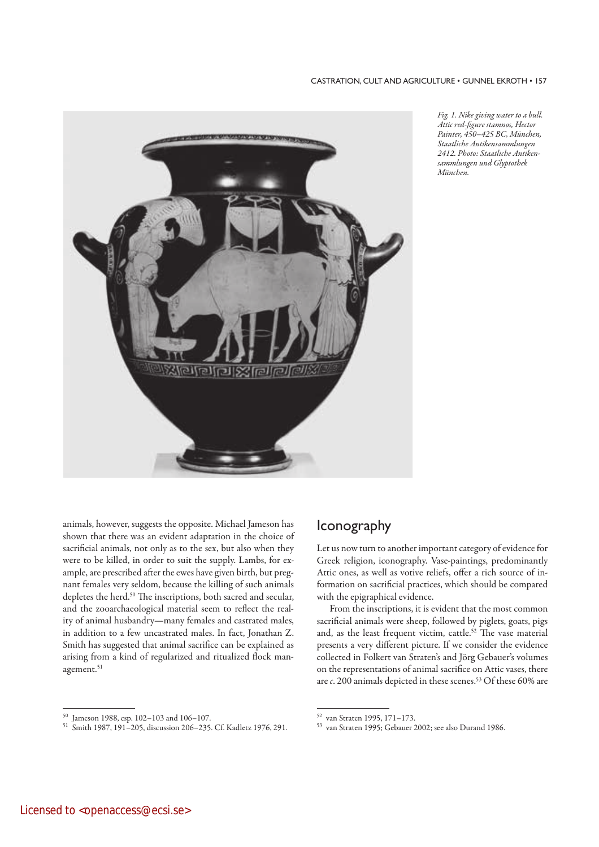

*Fig. 1. Nike giving water to a bull. Attic red-figure stamnos, Hector Painter, 450–425 BC, München, Staatliche Antiken sammlungen 2412. Photo: Staatliche Antikensammlungen und Glyptothek München.*

animals, however, suggests the opposite. Michael Jameson has shown that there was an evident adaptation in the choice of sacrificial animals, not only as to the sex, but also when they were to be killed, in order to suit the supply. Lambs, for example, are prescribed after the ewes have given birth, but pregnant females very seldom, because the killing of such animals depletes the herd.<sup>50</sup> The inscriptions, both sacred and secular, and the zooarchaeological material seem to reflect the reality of animal husbandry—many females and castrated males, in addition to a few uncastrated males. In fact, Jonathan Z. Smith has suggested that animal sacrifice can be explained as arising from a kind of regularized and ritualized flock management.<sup>51</sup>

# Iconography

Let us now turn to another important category of evidence for Greek religion, iconography. Vase-paintings, predominantly Attic ones, as well as votive reliefs, offer a rich source of information on sacrificial practices, which should be compared with the epigraphical evidence.

From the inscriptions, it is evident that the most common sacrificial animals were sheep, followed by piglets, goats, pigs and, as the least frequent victim, cattle.<sup>52</sup> The vase material presents a very different picture. If we consider the evidence collected in Folkert van Straten's and Jörg Gebauer's volumes on the representations of animal sacrifice on Attic vases, there are *c*. 200 animals depicted in these scenes.<sup>53</sup> Of these 60% are

<sup>50</sup> Jameson 1988, esp. 102–103 and 106–107.

<sup>51</sup> Smith 1987, 191–205, discussion 206–235. Cf. Kadletz 1976, 291.

<sup>52</sup> van Straten 1995, 171–173.

<sup>53</sup> van Straten 1995; Gebauer 2002; see also Durand 1986.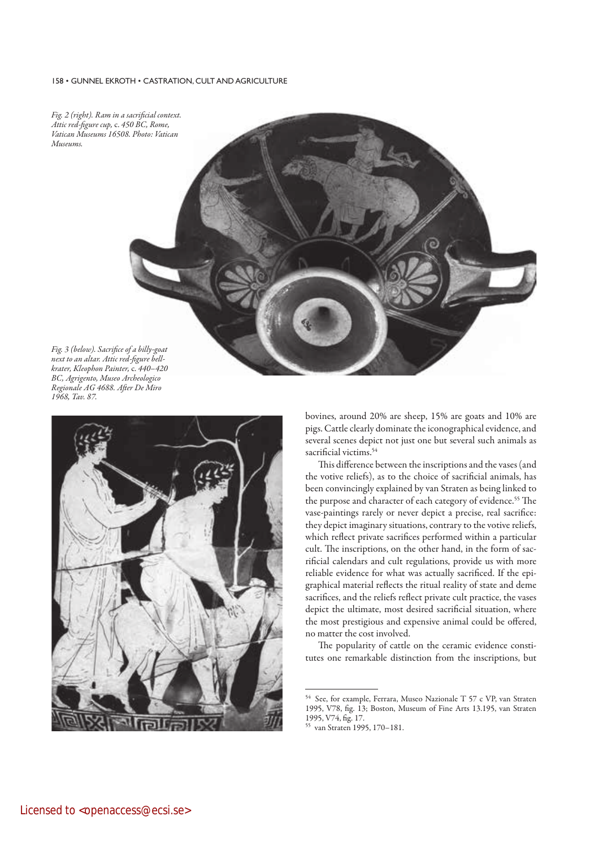#### 158 · GUNNEL EKROTH · CASTRATION, CULT AND AGRICULTURE



*next to an altar. Attic red-figure bellkrater, Kleophon Painter,* c. *440–420 BC, Agrigento, Museo Archeologico Regionale AG 4688. After De Miro 1968, Tav. 87.*



bovines, around 20% are sheep, 15% are goats and 10% are pigs. Cattle clearly dominate the iconographical evidence, and several scenes depict not just one but several such animals as sacrificial victims.<sup>54</sup>

This difference between the inscriptions and the vases (and the votive reliefs), as to the choice of sacrificial animals, has been convincingly explained by van Straten as being linked to the purpose and character of each category of evidence.<sup>55</sup> The vase-paintings rarely or never depict a precise, real sacrifice: they depict imaginary situations, contrary to the votive reliefs, which reflect private sacrifices performed within a particular cult. The inscriptions, on the other hand, in the form of sacrificial calendars and cult regulations, provide us with more reliable evidence for what was actually sacrificed. If the epigraphical material reflects the ritual reality of state and deme sacrifices, and the reliefs reflect private cult practice, the vases depict the ultimate, most desired sacrificial situation, where the most prestigious and expensive animal could be offered, no matter the cost involved.

The popularity of cattle on the ceramic evidence constitutes one remarkable distinction from the inscriptions, but

<sup>54</sup> See, for example, Ferrara, Museo Nazionale T 57 c VP, van Straten 1995, V78, fig. 13; Boston, Museum of Fine Arts 13.195, van Straten 1995, V74, fig. 17.

van Straten 1995, 170-181.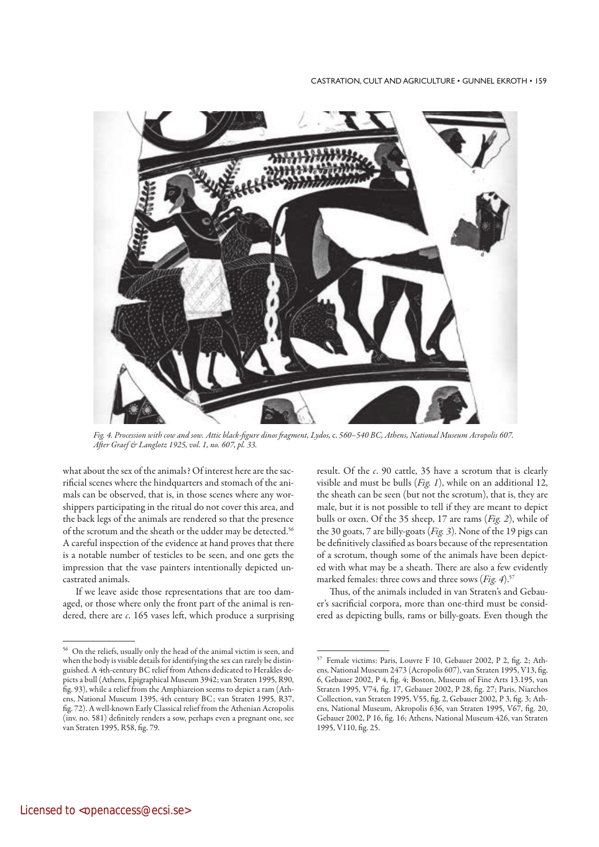

*Fig. 4. Procession with cow and sow. Attic black-figure dinos fragment, Lydos,* c. *560–540 BC, Athens, National Museum Acropolis 607. After Graef & Langlotz 1925, vol. 1, no. 607, pl. 33.*

what about the sex of the animals? Of interest here are the sacrificial scenes where the hindquarters and stomach of the animals can be observed, that is, in those scenes where any worshippers participating in the ritual do not cover this area, and the back legs of the animals are rendered so that the presence of the scrotum and the sheath or the udder may be detected.<sup>56</sup> A careful inspection of the evidence at hand proves that there is a notable number of testicles to be seen, and one gets the impression that the vase painters intentionally depicted uncastrated animals.

If we leave aside those representations that are too damaged, or those where only the front part of the animal is rendered, there are *c*. 165 vases left, which produce a surprising result. Of the *c*. 90 cattle, 35 have a scrotum that is clearly visible and must be bulls (*Fig. 1*), while on an additional 12, the sheath can be seen (but not the scrotum), that is, they are male, but it is not possible to tell if they are meant to depict bulls or oxen. Of the 35 sheep, 17 are rams (*Fig. 2*), while of the 30 goats, 7 are billy-goats (*Fig. 3*). None of the 19 pigs can be definitively classified as boars because of the representation of a scrotum, though some of the animals have been depicted with what may be a sheath. There are also a few evidently marked females: three cows and three sows (*Fig. 4*).<sup>57</sup>

Thus, of the animals included in van Straten's and Gebauer's sacrificial corpora, more than one-third must be considered as depicting bulls, rams or billy-goats. Even though the

<sup>56</sup> On the reliefs, usually only the head of the animal victim is seen, and when the body is visible details for identifying the sex can rarely be distinguished. A 4th-century BC relief from Athens dedicated to Herakles depicts a bull (Athens, Epigraphical Museum 3942; van Straten 1995, R90, fig. 93), while a relief from the Amphiareion seems to depict a ram (Athens, National Museum 1395, 4th century BC; van Straten 1995, R37, fig. 72). A well-known Early Classical relief from the Athenian Acropolis (inv. no. 581) definitely renders a sow, perhaps even a pregnant one, see van Straten 1995, R58, fig. 79.

<sup>57</sup> Female victims: Paris, Louvre F 10, Gebauer 2002, P 2, fig. 2; Athens, National Museum 2473 (Acropolis 607), van Straten 1995, V13, fig. 6, Gebauer 2002, P 4, fig. 4; Boston, Museum of Fine Arts 13.195, van Straten 1995, V74, fig. 17, Gebauer 2002, P 28, fig. 27; Paris, Niarchos Collection, van Straten 1995, V55, fig. 2, Gebauer 2002, P 3, fig. 3; Athens, National Museum, Akropolis 636, van Straten 1995, V67, fig. 20, Gebauer 2002, P 16, fig. 16; Athens, National Museum 426, van Straten 1995, V110, fig. 25.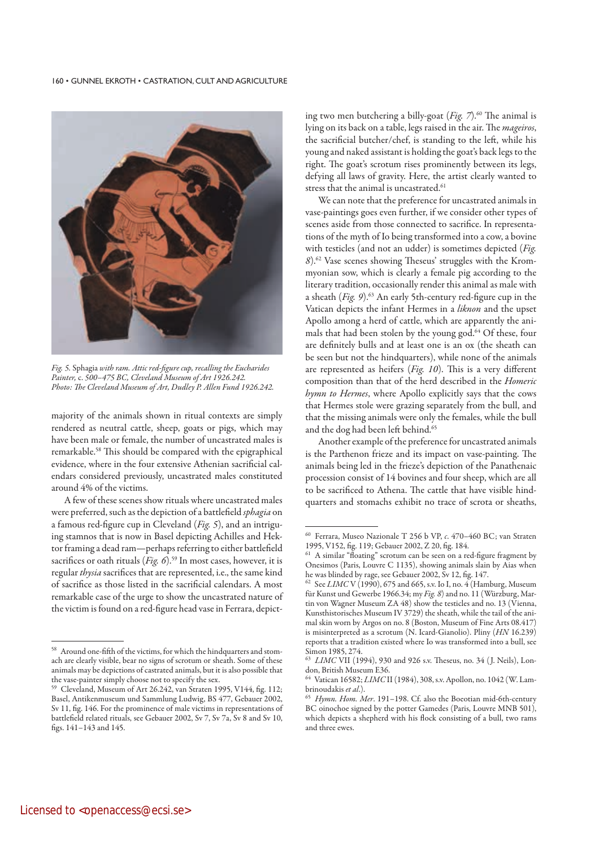$+60$  • GUNNEL EKROTH • CASTRATION, CULT AND AGRICULTURE



*Fig. 5.* Sphagia *with ram. Attic red-figure cup, recalling the Eucharides Painter,* c. *500–475 BC, Cleveland Museum of Art 1926.242. Photo: The Cleveland Museum of Art, Dudley P. Allen Fund 1926.242.*

majority of the animals shown in ritual contexts are simply rendered as neutral cattle, sheep, goats or pigs, which may have been male or female, the number of uncastrated males is remarkable.58 This should be compared with the epigraphical evidence, where in the four extensive Athenian sacrificial calendars considered previously, uncastrated males constituted around 4% of the victims.

A few of these scenes show rituals where uncastrated males were preferred, such as the depiction of a battlefield *sphagia* on a famous red-figure cup in Cleveland (*Fig. 5*), and an intriguing stamnos that is now in Basel depicting Achilles and Hektor framing a dead ram—perhaps referring to either battlefield sacrifices or oath rituals (*Fig. 6*).<sup>59</sup> In most cases, however, it is regular *thysia* sacrifices that are represented, i.e., the same kind of sacrifice as those listed in the sacrificial calendars. A most remarkable case of the urge to show the uncastrated nature of the victim is found on a red-figure head vase in Ferrara, depicting two men butchering a billy-goat (*Fig. 7*).<sup>60</sup> The animal is lying on its back on a table, legs raised in the air. The *mageiros*, the sacrificial butcher/chef, is standing to the left, while his young and naked assistant is holding the goat's back legs to the right. The goat's scrotum rises prominently between its legs, defying all laws of gravity. Here, the artist clearly wanted to stress that the animal is uncastrated.<sup>61</sup>

We can note that the preference for uncastrated animals in vase-paintings goes even further, if we consider other types of scenes aside from those connected to sacrifice. In representations of the myth of Io being transformed into a cow, a bovine with testicles (and not an udder) is sometimes depicted (*Fig. 8*).62 Vase scenes showing Theseus' struggles with the Krommyonian sow, which is clearly a female pig according to the literary tradition, occasionally render this animal as male with a sheath (*Fig. 9*).<sup>63</sup> An early 5th-century red-figure cup in the Vatican depicts the infant Hermes in a *liknon* and the upset Apollo among a herd of cattle, which are apparently the animals that had been stolen by the young god.<sup>64</sup> Of these, four are definitely bulls and at least one is an ox (the sheath can be seen but not the hindquarters), while none of the animals are represented as heifers (*Fig. 10*). This is a very different composition than that of the herd described in the *Homeric hymn to Hermes*, where Apollo explicitly says that the cows that Hermes stole were grazing separately from the bull, and that the missing animals were only the females, while the bull and the dog had been left behind.<sup>65</sup>

Another example of the preference for uncastrated animals is the Parthenon frieze and its impact on vase-painting. The animals being led in the frieze's depiction of the Panathenaic procession consist of 14 bovines and four sheep, which are all to be sacrificed to Athena. The cattle that have visible hindquarters and stomachs exhibit no trace of scrota or sheaths,

<sup>58</sup> Around one-fifth of the victims, for which the hindquarters and stomach are clearly visible, bear no signs of scrotum or sheath. Some of these animals may be depictions of castrated animals, but it is also possible that the vase-painter simply choose not to specify the sex.

Cleveland, Museum of Art 26.242, van Straten 1995, V144, fig. 112; Basel, Antikenmuseum und Sammlung Ludwig, BS 477, Gebauer 2002, Sv 11, fig. 146. For the prominence of male victims in representations of battlefield related rituals, see Gebauer 2002, Sv 7, Sv 7a, Sv 8 and Sv 10, figs. 141–143 and 145.

<sup>60</sup> Ferrara, Museo Nazionale T 256 b VP, *c*. 470–460 BC; van Straten 1995, V152, fig. 119; Gebauer 2002, Z 20, fig. 184.

<sup>61</sup> A similar "floating" scrotum can be seen on a red-figure fragment by Onesimos (Paris, Louvre C 1135), showing animals slain by Aias when he was blinded by rage, see Gebauer 2002, Sv 12, fig. 147.

<sup>&</sup>lt;sup>62</sup> See *LIMC* V (1990), 675 and 665, s.v. Io I, no.  $\widetilde{A}$  (Hamburg, Museum für Kunst und Gewerbe 1966.34; my *Fig. 8*) and no. 11 (Würzburg, Martin von Wagner Museum ZA 48) show the testicles and no. 13 (Vienna, Kunsthistorisches Museum IV 3729) the sheath, while the tail of the animal skin worn by Argos on no. 8 (Boston, Museum of Fine Arts 08.417) is misinterpreted as a scrotum (N. Icard-Gianolio). Pliny (*HN* 16.239) reports that a tradition existed where Io was transformed into a bull, see Simon 1985, 274.

<sup>63</sup>*LIMC* VII (1994), 930 and 926 s.v. Theseus, no. 34 ( J. Neils), London, British Museum E36.

<sup>64</sup> Vatican 16582; *LIMC* II (1984), 308, s.v. Apollon, no. 1042 (W. Lambrinoudakis *et al*.).

<sup>65</sup>*Hymn. Hom. Mer*. 191–198. Cf. also the Boeotian mid-6th-century BC oinochoe signed by the potter Gamedes (Paris, Louvre MNB 501), which depicts a shepherd with his flock consisting of a bull, two rams and three ewes.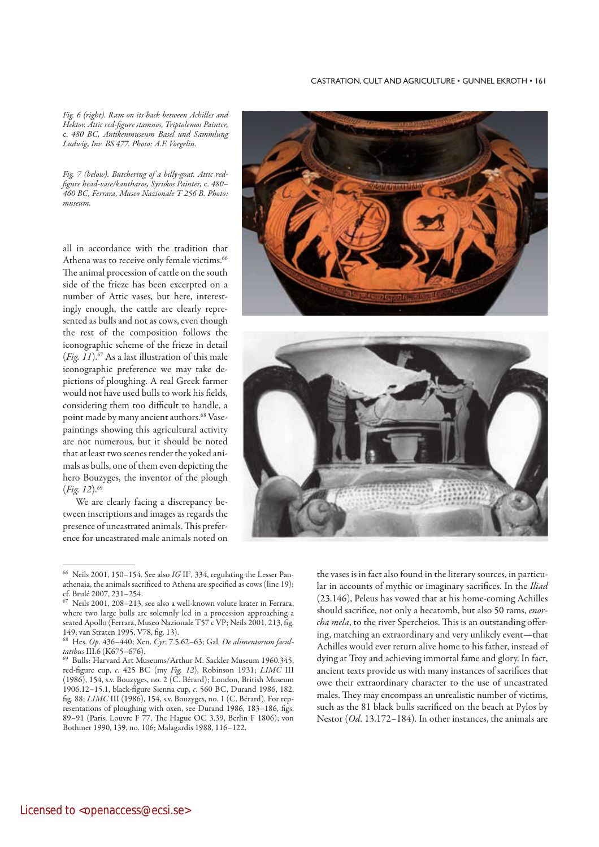*Fig. 6 (right). Ram on its back between Achilles and Hektor. Attic red-figure stamnos, Triptolemos Painter,*  c. *480 BC, Antikenmuseum Basel und Sammlung Ludwig, Inv. BS 477. Photo: A.F. Voegelin.*

*Fig. 7 (below). Butchering of a billy-goat. Attic redfigure head-vase/kantharos, Syriskos Painter,* c. *480– 460 BC, Ferrara, Museo Nazionale T 256 B. Photo: museum.*

all in accordance with the tradition that Athena was to receive only female victims.<sup>66</sup> The animal procession of cattle on the south side of the frieze has been excerpted on a number of Attic vases, but here, interestingly enough, the cattle are clearly represented as bulls and not as cows, even though the rest of the composition follows the iconographic scheme of the frieze in detail (*Fig. 11*).67 As a last illustration of this male iconographic preference we may take depictions of ploughing. A real Greek farmer would not have used bulls to work his fields, considering them too difficult to handle, a point made by many ancient authors.<sup>68</sup> Vasepaintings showing this agricultural activity are not numerous, but it should be noted that at least two scenes render the yoked animals as bulls, one of them even depicting the hero Bouzyges, the inventor of the plough (*Fig. 12*).69

We are clearly facing a discrepancy between inscriptions and images as regards the presence of uncastrated animals. This preference for uncastrated male animals noted on





the vases is in fact also found in the literary sources, in particular in accounts of mythic or imaginary sacrifices. In the *Iliad* (23.146), Peleus has vowed that at his home-coming Achilles should sacrifice, not only a hecatomb, but also 50 rams, *enorcha mela*, to the river Spercheios. This is an outstanding offering, matching an extraordinary and very unlikely event—that Achilles would ever return alive home to his father, instead of dying at Troy and achieving immortal fame and glory. In fact, ancient texts provide us with many instances of sacrifices that owe their extraordinary character to the use of uncastrated males. They may encompass an unrealistic number of victims, such as the 81 black bulls sacrificed on the beach at Pylos by Nestor (*Od*. 13.172–184). In other instances, the animals are

<sup>&</sup>lt;sup>66</sup> Neils 2001, 150-154. See also IG II<sup>2</sup>, 334, regulating the Lesser Panathenaia, the animals sacrificed to Athena are specified as cows (line 19); cf. Brulé 2007, 231–254.

Neils 2001, 208–213, see also a well-known volute krater in Ferrara, where two large bulls are solemnly led in a procession approaching a seated Apollo (Ferrara, Museo Nazionale T57 c VP; Neils 2001, 213, fig. 149; van Straten 1995, V78, fig. 13).

<sup>68</sup> Hes. *Op*. 436–440; Xen. *Cyr*. 7.5.62–63; Gal. *De alimentorum facultatibus* III.6 (K675–676).

<sup>69</sup> Bulls: Harvard Art Museums/Arthur M. Sackler Museum 1960.345, red-figure cup, *c*. 425 BC (my *Fig. 12*), Robinson 1931; *LIMC* III (1986), 154, s.v. Bouzyges, no. 2 (C. Bérard); London, British Museum 1906.12–15.1, black-figure Sienna cup, *c*. 560 BC, Durand 1986, 182, fig. 88; *LIMC* III (1986), 154, s.v. Bouzyges, no. 1 (C. Bérard). For representations of ploughing with oxen, see Durand 1986, 183–186, figs. 89–91 (Paris, Louvre F 77, The Hague OC 3.39, Berlin F 1806); von Bothmer 1990, 139, no. 106; Malagardis 1988, 116–122.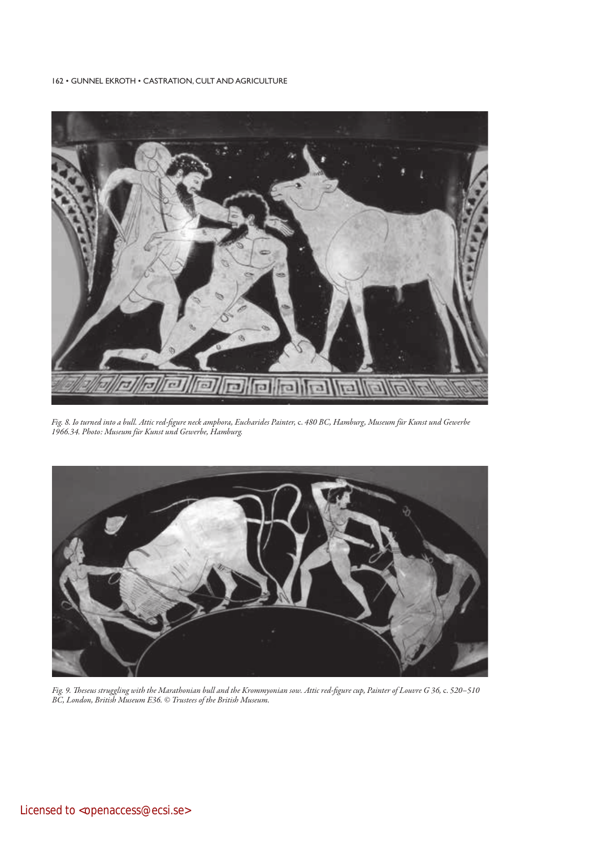162 • GUNNEL EKROTH • CASTRATION, CULT AND AGRICULTURE



*Fig. 8. Io turned into a bull. Attic red-figure neck amphora, Eucharides Painter,* c. *480 BC, Hamburg, Museum für Kunst und Gewerbe 1966.34. Photo: Museum für Kunst und Gewerbe, Hamburg.*



*Fig. 9. Theseus struggling with the Marathonian bull and the Krommyonian sow. Attic red-figure cup, Painter of Louvre G 36,* c. *520–510 BC, London, British Museum E36. © Trustees of the British Museum.*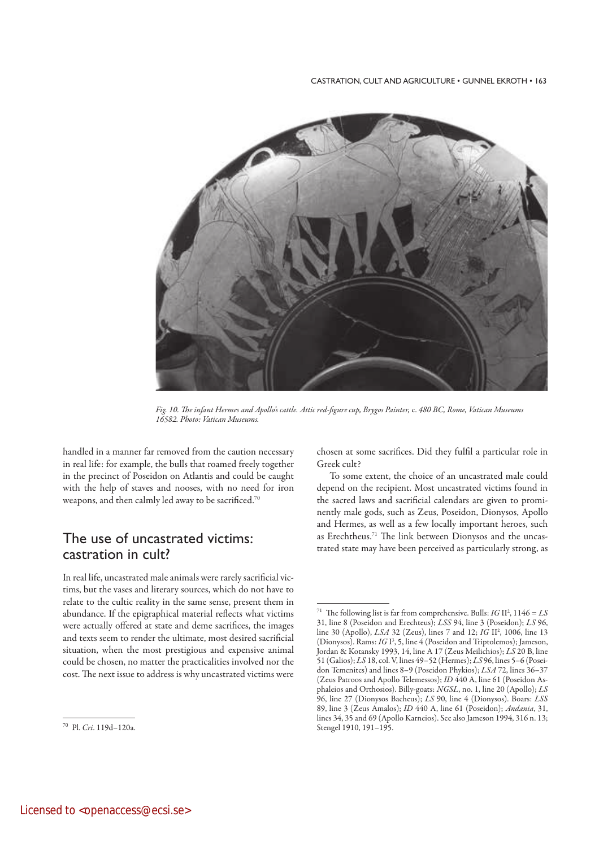

*Fig. 10. The infant Hermes and Apollo's cattle. Attic red-figure cup, Brygos Painter,* c. *480 BC, Rome, Vatican Museums 16582. Photo: Vatican Museums.* 

handled in a manner far removed from the caution necessary in real life: for example, the bulls that roamed freely together in the precinct of Poseidon on Atlantis and could be caught with the help of staves and nooses, with no need for iron weapons, and then calmly led away to be sacrificed.<sup>70</sup>

# The use of uncastrated victims: castration in cult?

In real life, uncastrated male animals were rarely sacrificial victims, but the vases and literary sources, which do not have to relate to the cultic reality in the same sense, present them in abundance. If the epigraphical material reflects what victims were actually offered at state and deme sacrifices, the images and texts seem to render the ultimate, most desired sacrificial situation, when the most prestigious and expensive animal could be chosen, no matter the practicalities involved nor the cost. The next issue to address is why uncastrated victims were chosen at some sacrifices. Did they fulfil a particular role in Greek cult?

To some extent, the choice of an uncastrated male could depend on the recipient. Most uncastrated victims found in the sacred laws and sacrificial calendars are given to prominently male gods, such as Zeus, Poseidon, Dionysos, Apollo and Hermes, as well as a few locally important heroes, such as Erechtheus.71 The link between Dionysos and the uncastrated state may have been perceived as particularly strong, as

<sup>70</sup> Pl. *Cri*. 119d–120a.

<sup>&</sup>lt;sup>71</sup> The following list is far from comprehensive. Bulls: *IG* II<sup>2</sup>, 1146 = *LS* 31, line 8 (Poseidon and Erechteus); *LSS* 94, line 3 (Poseidon); *LS* 96, line 30 (Apollo), *LSA* 32 (Zeus), lines 7 and 12; *IG* II2 , 1006, line 13 (Dionysos). Rams: *IG* I<sup>3</sup>, 5, line 4 (Poseidon and Triptolemos); Jameson, Jordan & Kotansky 1993, 14, line A 17 (Zeus Meilichios); *LS* 20 B, line 51 (Galios); *LS* 18, col. V, lines 49–52 (Hermes); *LS* 96, lines 5–6 (Poseidon Temenites) and lines 8–9 (Poseidon Phykios); *LSA* 72, lines 36–37 (Zeus Patroos and Apollo Telemessos); *ID* 440 A, line 61 (Poseidon Asphaleios and Orthosios). Billy-goats: *NGSL*, no. 1, line 20 (Apollo); *LS* 96, line 27 (Dionysos Bacheus); *LS* 90, line 4 (Dionysos). Boars: *LSS* 89, line 3 (Zeus Amalos); *ID* 440 A, line 61 (Poseidon); *Andania*, 31, lines 34, 35 and 69 (Apollo Karneios). See also Jameson 1994, 316 n. 13; Stengel 1910, 191–195.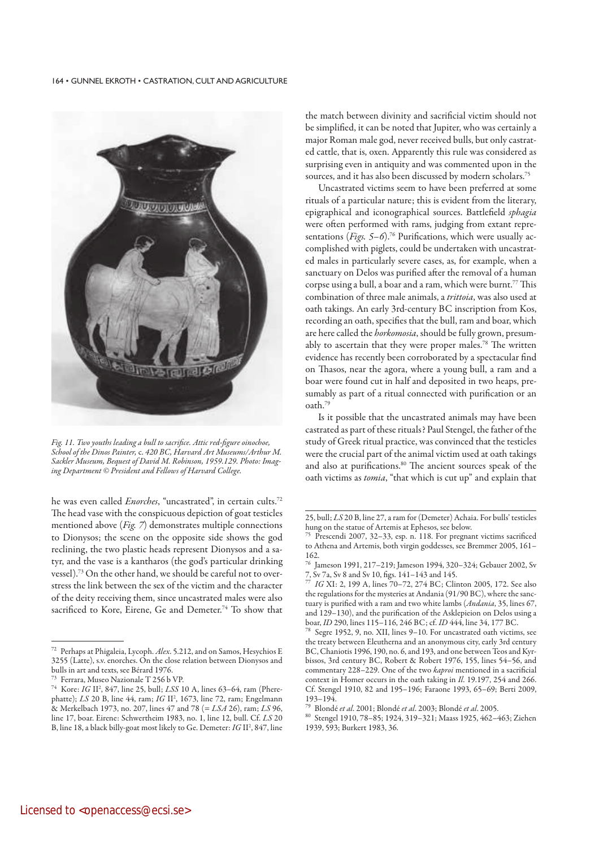

*Fig. 11. Two youths leading a bull to sacrifice. Attic red-figure oinochoe, School of the Dinos Painter,* c. *420 BC, Harvard Art Museums/Arthur M. Sackler Museum, Bequest of David M. Robinson, 1959.129. Photo: Imaging Department © President and Fellows of Harvard College.*

he was even called *Enorches*, "uncastrated", in certain cults.72 The head vase with the conspicuous depiction of goat testicles mentioned above (*Fig. 7*) demonstrates multiple connections to Dionysos; the scene on the opposite side shows the god reclining, the two plastic heads represent Dionysos and a satyr, and the vase is a kantharos (the god's particular drinking vessel).73 On the other hand, we should be careful not to overstress the link between the sex of the victim and the character of the deity receiving them, since uncastrated males were also sacrificed to Kore, Eirene, Ge and Demeter.<sup>74</sup> To show that

the match between divinity and sacrificial victim should not be simplified, it can be noted that Jupiter, who was certainly a major Roman male god, never received bulls, but only castrated cattle, that is, oxen. Apparently this rule was considered as surprising even in antiquity and was commented upon in the sources, and it has also been discussed by modern scholars.<sup>75</sup>

Uncastrated victims seem to have been preferred at some rituals of a particular nature; this is evident from the literary, epigraphical and iconographical sources. Battlefield *sphagia* were often performed with rams, judging from extant representations (*Figs. 5–6*).<sup>76</sup> Purifications, which were usually accomplished with piglets, could be undertaken with uncastrated males in particularly severe cases, as, for example, when a sanctuary on Delos was purified after the removal of a human corpse using a bull, a boar and a ram, which were burnt.77 This combination of three male animals, a *trittoia*, was also used at oath takings. An early 3rd-century BC inscription from Kos, recording an oath, specifies that the bull, ram and boar, which are here called the *horkomosia*, should be fully grown, presumably to ascertain that they were proper males.<sup>78</sup> The written evidence has recently been corroborated by a spectacular find on Thasos, near the agora, where a young bull, a ram and a boar were found cut in half and deposited in two heaps, presumably as part of a ritual connected with purification or an oath.79

Is it possible that the uncastrated animals may have been castrated as part of these rituals? Paul Stengel, the father of the study of Greek ritual practice, was convinced that the testicles were the crucial part of the animal victim used at oath takings and also at purifications.<sup>80</sup> The ancient sources speak of the oath victims as *tomia*, "that which is cut up" and explain that

<sup>72</sup> Perhaps at Phigaleia, Lycoph. *Alex*. 5.212, and on Samos, Hesychios E 3255 (Latte), s.v. enorches. On the close relation between Dionysos and bulls in art and texts, see Bérard 1976.

<sup>&</sup>lt;sup>73</sup> Ferrara, Museo Nazionale T 256 b VP.<br><sup>74</sup> Kana, *IC W*, <sup>947</sup> Jina 25, hull, *I* CS 1

<sup>74</sup> Kore: *IG* II2 , 847, line 25, bull; *LSS* 10 A, lines 63–64, ram (Pherephatte); *LS* 20 B, line 44, ram; *IG* II<sup>2</sup>, 1673, line 72, ram; Engelmann & Merkelbach 1973, no. 207, lines 47 and 78 (= *LSA* 26), ram; *LS* 96, line 17, boar. Eirene: Schwertheim 1983, no. 1, line 12, bull. Cf. *LS* 20 B, line 18, a black billy-goat most likely to Ge. Demeter: *IG* II2 , 847, line

<sup>25,</sup> bull; *LS* 20 B, line 27, a ram for (Demeter) Achaia. For bulls' testicles hung on the statue of Artemis at Ephesos, see below.

Prescendi 2007, 32-33, esp. n. 118. For pregnant victims sacrificed to Athena and Artemis, both virgin goddesses, see Bremmer 2005, 161– 162.

<sup>76</sup> Jameson 1991, 217–219; Jameson 1994, 320–324; Gebauer 2002, Sv 7, Sv 7a, Sv 8 and Sv 10, figs. 141–143 and 145.

<sup>77</sup>*IG* XI: 2, 199 A, lines 70–72, 274 BC; Clinton 2005, 172. See also the regulations for the mysteries at Andania (91/90 BC), where the sanctuary is purified with a ram and two white lambs (*Andania*, 35, lines 67, and 129–130), and the purification of the Asklepieion on Delos using a boar, *ID* 290, lines 115–116, 246 BC; cf. *ID* 444, line 34, 177 BC.

Segre 1952, 9, no. XII, lines 9–10. For uncastrated oath victims, see the treaty between Eleutherna and an anonymous city, early 3rd century BC, Chaniotis 1996, 190, no. 6, and 193, and one between Teos and Kyrbissos, 3rd century BC, Robert & Robert 1976, 155, lines 54–56, and commentary 228–229. One of the two *kaproi* mentioned in a sacrificial context in Homer occurs in the oath taking in *Il*. 19.197, 254 and 266. Cf. Stengel 1910, 82 and 195–196; Faraone 1993, 65–69; Berti 2009, 193–194.

<sup>79</sup> Blondé *et al*. 2001; Blondé *et al*. 2003; Blondé *et al*. 2005.

Stengel 1910, 78-85; 1924, 319-321; Maass 1925, 462-463; Ziehen 1939, 593; Burkert 1983, 36.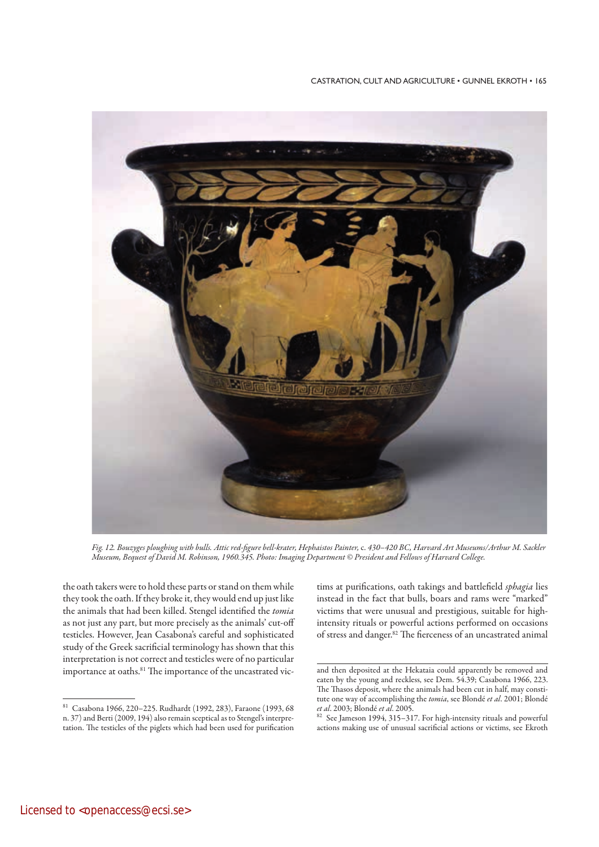

*Fig. 12. Bouzyges ploughing with bulls. Attic red-figure bell-krater, Hephaistos Painter,* c. *430–420 BC, Harvard Art Museums/Arthur M. Sackler Museum, Bequest of David M. Robinson, 1960.345. Photo: Imaging Department © President and Fellows of Harvard College.*

the oath takers were to hold these parts or stand on them while they took the oath. If they broke it, they would end up just like the animals that had been killed. Stengel identified the *tomia* as not just any part, but more precisely as the animals' cut-off testicles. However, Jean Casabona's careful and sophisticated study of the Greek sacrificial terminology has shown that this interpretation is not correct and testicles were of no particular importance at oaths.<sup>81</sup> The importance of the uncastrated victims at purifications, oath takings and battlefield *sphagia* lies instead in the fact that bulls, boars and rams were "marked" victims that were unusual and prestigious, suitable for highintensity rituals or powerful actions performed on occasions of stress and danger.<sup>82</sup> The fierceness of an uncastrated animal

<sup>81</sup> Casabona 1966, 220–225. Rudhardt (1992, 283), Faraone (1993, 68 n. 37) and Berti (2009, 194) also remain sceptical as to Stengel's interpretation. The testicles of the piglets which had been used for purification

and then deposited at the Hekataia could apparently be removed and eaten by the young and reckless, see Dem. 54.39; Casabona 1966, 223. The Thasos deposit, where the animals had been cut in half, may constitute one way of accomplishing the *tomia*, see Blondé *et al*. 2001; Blondé *et al*. 2003; Blondé *et al*. 2005.

See Jameson 1994, 315-317. For high-intensity rituals and powerful actions making use of unusual sacrificial actions or victims, see Ekroth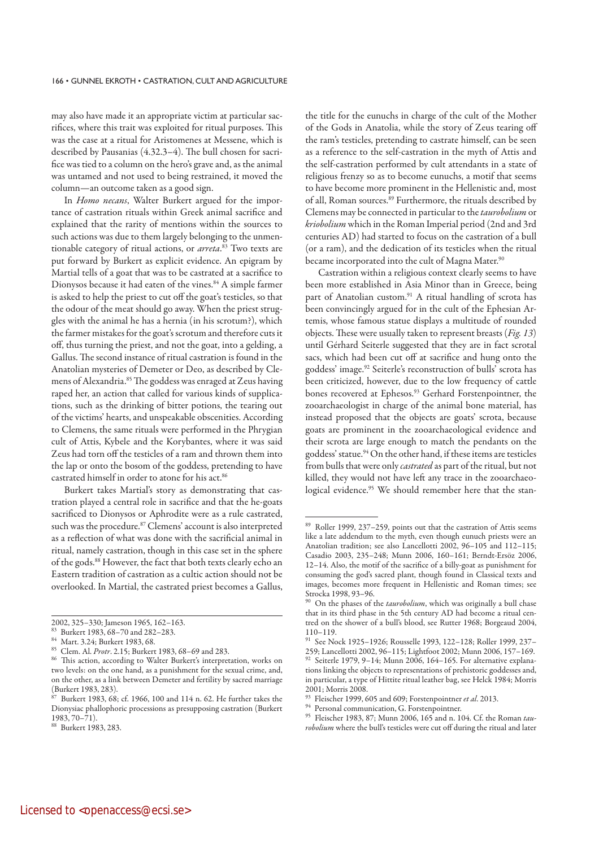may also have made it an appropriate victim at particular sacrifices, where this trait was exploited for ritual purposes. This was the case at a ritual for Aristomenes at Messene, which is described by Pausanias (4.32.3–4). The bull chosen for sacrifice was tied to a column on the hero's grave and, as the animal was untamed and not used to being restrained, it moved the column—an outcome taken as a good sign.

In *Homo necans*, Walter Burkert argued for the importance of castration rituals within Greek animal sacrifice and explained that the rarity of mentions within the sources to such actions was due to them largely belonging to the unmentionable category of ritual actions, or *arreta*. 83 Two texts are put forward by Burkert as explicit evidence. An epigram by Martial tells of a goat that was to be castrated at a sacrifice to Dionysos because it had eaten of the vines.<sup>84</sup> A simple farmer is asked to help the priest to cut off the goat's testicles, so that the odour of the meat should go away. When the priest struggles with the animal he has a hernia (in his scrotum?), which the farmer mistakes for the goat's scrotum and therefore cuts it off, thus turning the priest, and not the goat, into a gelding, a Gallus. The second instance of ritual castration is found in the Anatolian mysteries of Demeter or Deo, as described by Clemens of Alexandria.85 The goddess was enraged at Zeus having raped her, an action that called for various kinds of supplications, such as the drinking of bitter potions, the tearing out of the victims' hearts, and unspeakable obscenities. According to Clemens, the same rituals were performed in the Phrygian cult of Attis, Kybele and the Korybantes, where it was said Zeus had torn off the testicles of a ram and thrown them into the lap or onto the bosom of the goddess, pretending to have castrated himself in order to atone for his act.<sup>86</sup>

Burkert takes Martial's story as demonstrating that castration played a central role in sacrifice and that the he-goats sacrificed to Dionysos or Aphrodite were as a rule castrated, such was the procedure.<sup>87</sup> Clemens' account is also interpreted as a reflection of what was done with the sacrificial animal in ritual, namely castration, though in this case set in the sphere of the gods.88 However, the fact that both texts clearly echo an Eastern tradition of castration as a cultic action should not be overlooked. In Martial, the castrated priest becomes a Gallus,

the title for the eunuchs in charge of the cult of the Mother of the Gods in Anatolia, while the story of Zeus tearing off the ram's testicles, pretending to castrate himself, can be seen as a reference to the self-castration in the myth of Attis and the self-castration performed by cult attendants in a state of religious frenzy so as to become eunuchs, a motif that seems to have become more prominent in the Hellenistic and, most of all, Roman sources.<sup>89</sup> Furthermore, the rituals described by Clemens may be connected in particular to the *taurobolium* or *kriobolium* which in the Roman Imperial period (2nd and 3rd centuries AD) had started to focus on the castration of a bull (or a ram), and the dedication of its testicles when the ritual became incorporated into the cult of Magna Mater.<sup>90</sup>

Castration within a religious context clearly seems to have been more established in Asia Minor than in Greece, being part of Anatolian custom.<sup>91</sup> A ritual handling of scrota has been convincingly argued for in the cult of the Ephesian Artemis, whose famous statue displays a multitude of rounded objects. These were usually taken to represent breasts (*Fig. 13*) until Gérhard Seiterle suggested that they are in fact scrotal sacs, which had been cut off at sacrifice and hung onto the goddess' image.92 Seiterle's reconstruction of bulls' scrota has been criticized, however, due to the low frequency of cattle bones recovered at Ephesos.<sup>93</sup> Gerhard Forstenpointner, the zooarchaeologist in charge of the animal bone material, has instead proposed that the objects are goats' scrota, because goats are prominent in the zooarchaeological evidence and their scrota are large enough to match the pendants on the goddess' statue.94 On the other hand, if these items are testicles from bulls that were only *castrated* as part of the ritual, but not killed, they would not have left any trace in the zooarchaeological evidence.<sup>95</sup> We should remember here that the stan-

<sup>2002, 325–330;</sup> Jameson 1965, 162–163.

<sup>83</sup> Burkert 1983, 68–70 and 282–283.

<sup>84</sup> Mart. 3.24; Burkert 1983, 68.

<sup>85</sup> Clem. Al. *Protr*. 2.15; Burkert 1983, 68–69 and 283.

This action, according to Walter Burkert's interpretation, works on two levels: on the one hand, as a punishment for the sexual crime, and, on the other, as a link between Demeter and fertility by sacred marriage (Burkert 1983, 283).

Burkert 1983, 68; cf. 1966, 100 and 114 n. 62. He further takes the Dionysiac phallophoric processions as presupposing castration (Burkert  $1983, 70 - 71$ ).

<sup>88</sup> Burkert 1983, 283.

<sup>89</sup> Roller 1999, 237-259, points out that the castration of Attis seems like a late addendum to the myth, even though eunuch priests were an Anatolian tradition; see also Lancellotti 2002, 96–105 and 112–115; Casadio 2003, 235–248; Munn 2006, 160–161; Berndt-Ersöz 2006, 12–14. Also, the motif of the sacrifice of a billy-goat as punishment for consuming the god's sacred plant, though found in Classical texts and images, becomes more frequent in Hellenistic and Roman times; see Strocka 1998, 93–96.

On the phases of the *taurobolium*, which was originally a bull chase that in its third phase in the 5th century AD had become a ritual centred on the shower of a bull's blood, see Rutter 1968; Borgeaud 2004, 110–119.

<sup>91</sup> See Nock 1925–1926; Rousselle 1993, 122–128; Roller 1999, 237–

<sup>259;</sup> Lancellotti 2002, 96–115; Lightfoot 2002; Munn 2006, 157–169. Seiterle 1979, 9-14; Munn 2006, 164-165. For alternative explanations linking the objects to representations of prehistoric goddesses and, in particular, a type of Hittite ritual leather bag, see Helck 1984; Morris 2001; Morris 2008.

<sup>93</sup> Fleischer 1999, 605 and 609; Forstenpointner *et al*. 2013.

<sup>94</sup> Personal communication, G. Forstenpointner.

<sup>95</sup> Fleischer 1983, 87; Munn 2006, 165 and n. 104. Cf. the Roman *taurobolium* where the bull's testicles were cut off during the ritual and later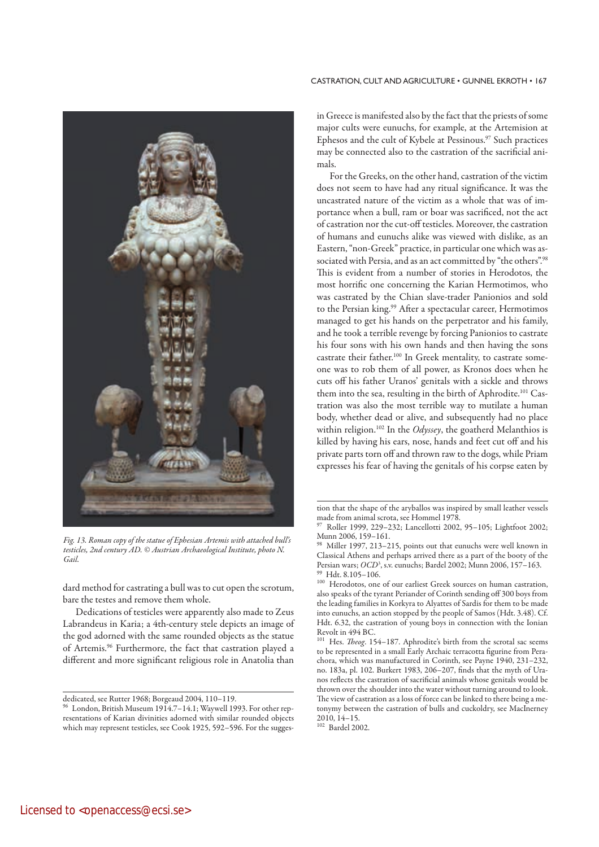

*Fig. 13. Roman copy of the statue of Ephesian Artemis with attached bull's testicles, 2nd century AD. © Austrian Archaeological Institute, photo N. Gail.*

dard method for castrating a bull was to cut open the scrotum, bare the testes and remove them whole.

Dedications of testicles were apparently also made to Zeus Labrandeus in Karia; a 4th-century stele depicts an image of the god adorned with the same rounded objects as the statue of Artemis.96 Furthermore, the fact that castration played a different and more significant religious role in Anatolia than in Greece is manifested also by the fact that the priests of some major cults were eunuchs, for example, at the Artemision at Ephesos and the cult of Kybele at Pessinous. $\real^{97}$  Such practices may be connected also to the castration of the sacrificial animals.

For the Greeks, on the other hand, castration of the victim does not seem to have had any ritual significance. It was the uncastrated nature of the victim as a whole that was of importance when a bull, ram or boar was sacrificed, not the act of castration nor the cut-off testicles. Moreover, the castration of humans and eunuchs alike was viewed with dislike, as an Eastern, "non-Greek" practice, in particular one which was associated with Persia, and as an act committed by "the others".98 This is evident from a number of stories in Herodotos, the most horrific one concerning the Karian Hermotimos, who was castrated by the Chian slave-trader Panionios and sold to the Persian king.<sup>99</sup> After a spectacular career, Hermotimos managed to get his hands on the perpetrator and his family, and he took a terrible revenge by forcing Panionios to castrate his four sons with his own hands and then having the sons castrate their father.100 In Greek mentality, to castrate someone was to rob them of all power, as Kronos does when he cuts off his father Uranos' genitals with a sickle and throws them into the sea, resulting in the birth of Aphrodite.<sup>101</sup> Castration was also the most terrible way to mutilate a human body, whether dead or alive, and subsequently had no place within religion.102 In the *Odyssey*, the goatherd Melanthios is killed by having his ears, nose, hands and feet cut off and his private parts torn off and thrown raw to the dogs, while Priam expresses his fear of having the genitals of his corpse eaten by

dedicated, see Rutter 1968; Borgeaud 2004, 110–119.

<sup>96</sup> London, British Museum 1914.7–14.1; Waywell 1993. For other representations of Karian divinities adorned with similar rounded objects which may represent testicles, see Cook 1925, 592–596. For the sugges-

tion that the shape of the aryballos was inspired by small leather vessels made from animal scrota, see Hommel 1978.

<sup>97</sup> Roller 1999, 229–232; Lancellotti 2002, 95–105; Lightfoot 2002; Munn 2006, 159–161.

Miller 1997, 213-215, points out that eunuchs were well known in Classical Athens and perhaps arrived there as a part of the booty of the Persian wars; *OCD*<sup>3</sup>, s.v. eunuchs; Bardel 2002; Munn 2006, 157–163. Hdt. 8.105–106.

<sup>100</sup> Herodotos, one of our earliest Greek sources on human castration, also speaks of the tyrant Periander of Corinth sending off 300 boys from the leading families in Korkyra to Alyattes of Sardis for them to be made into eunuchs, an action stopped by the people of Samos (Hdt. 3.48). Cf. Hdt. 6.32, the castration of young boys in connection with the Ionian Revolt in 494 BC.

<sup>101</sup> Hes. *Theog*. 154–187. Aphrodite's birth from the scrotal sac seems to be represented in a small Early Archaic terracotta figurine from Perachora, which was manufactured in Corinth, see Payne 1940, 231–232, no. 183a, pl. 102. Burkert 1983, 206–207, finds that the myth of Uranos reflects the castration of sacrificial animals whose genitals would be thrown over the shoulder into the water without turning around to look. The view of castration as a loss of force can be linked to there being a metonymy between the castration of bulls and cuckoldry, see MacInerney 2010, 14–15.

<sup>102</sup> Bardel 2002.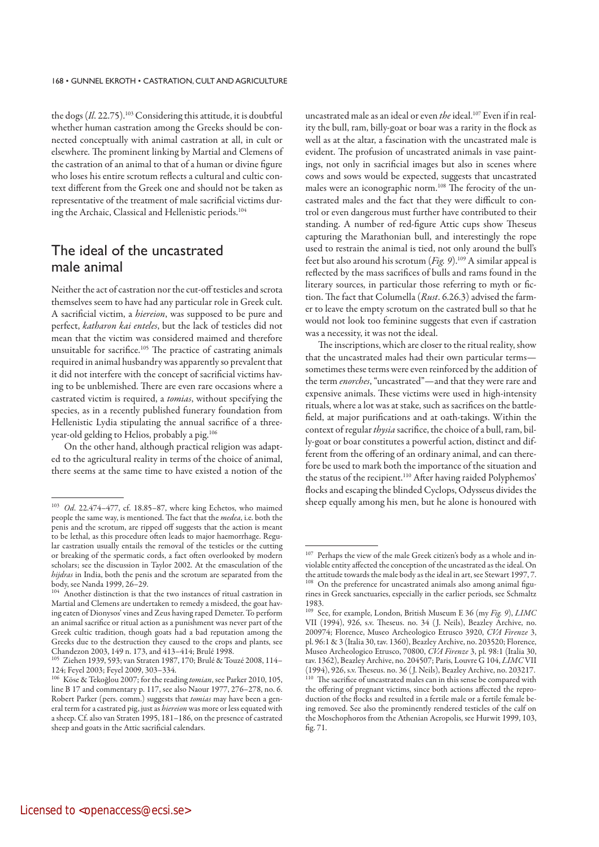the dogs (*Il*. 22.75).103 Considering this attitude, it is doubtful whether human castration among the Greeks should be connected conceptually with animal castration at all, in cult or elsewhere. The prominent linking by Martial and Clemens of the castration of an animal to that of a human or divine figure who loses his entire scrotum reflects a cultural and cultic context different from the Greek one and should not be taken as representative of the treatment of male sacrificial victims during the Archaic, Classical and Hellenistic periods.<sup>104</sup>

# The ideal of the uncastrated male animal

Neither the act of castration nor the cut-off testicles and scrota themselves seem to have had any particular role in Greek cult. A sacrificial victim, a *hiereion*, was supposed to be pure and perfect, *katharon kai enteles*, but the lack of testicles did not mean that the victim was considered maimed and therefore unsuitable for sacrifice.105 The practice of castrating animals required in animal husbandry was apparently so prevalent that it did not interfere with the concept of sacrificial victims having to be unblemished. There are even rare occasions where a castrated victim is required, a *tomias*, without specifying the species, as in a recently published funerary foundation from Hellenistic Lydia stipulating the annual sacrifice of a threeyear-old gelding to Helios, probably a pig.106

On the other hand, although practical religion was adapted to the agricultural reality in terms of the choice of animal, there seems at the same time to have existed a notion of the uncastrated male as an ideal or even *the* ideal.107 Even if in reality the bull, ram, billy-goat or boar was a rarity in the flock as well as at the altar, a fascination with the uncastrated male is evident. The profusion of uncastrated animals in vase paintings, not only in sacrificial images but also in scenes where cows and sows would be expected, suggests that uncastrated males were an iconographic norm.<sup>108</sup> The ferocity of the uncastrated males and the fact that they were difficult to control or even dangerous must further have contributed to their standing. A number of red-figure Attic cups show Theseus capturing the Marathonian bull, and interestingly the rope used to restrain the animal is tied, not only around the bull's feet but also around his scrotum (*Fig. 9*).109 A similar appeal is reflected by the mass sacrifices of bulls and rams found in the literary sources, in particular those referring to myth or fiction. The fact that Columella (*Rust*. 6.26.3) advised the farmer to leave the empty scrotum on the castrated bull so that he would not look too feminine suggests that even if castration was a necessity, it was not the ideal.

The inscriptions, which are closer to the ritual reality, show that the uncastrated males had their own particular terms sometimes these terms were even reinforced by the addition of the term *enorches*, "uncastrated"—and that they were rare and expensive animals. These victims were used in high-intensity rituals, where a lot was at stake, such as sacrifices on the battlefield, at major purifications and at oath-takings. Within the context of regular *thysia* sacrifice, the choice of a bull, ram, billy-goat or boar constitutes a powerful action, distinct and different from the offering of an ordinary animal, and can therefore be used to mark both the importance of the situation and the status of the recipient.<sup>110</sup> After having raided Polyphemos' flocks and escaping the blinded Cyclops, Odysseus divides the sheep equally among his men, but he alone is honoured with

<sup>103</sup>*Od*. 22.474–477, cf. 18.85–87, where king Echetos, who maimed people the same way, is mentioned. The fact that the *medea*, i.e. both the penis and the scrotum, are ripped off suggests that the action is meant to be lethal, as this procedure often leads to major haemorrhage. Regular castration usually entails the removal of the testicles or the cutting or breaking of the spermatic cords, a fact often overlooked by modern scholars; see the discussion in Taylor 2002. At the emasculation of the *hijdras* in India, both the penis and the scrotum are separated from the body, see Nanda 1999, 26–29.

<sup>&</sup>lt;sup>104</sup> Another distinction is that the two instances of ritual castration in Martial and Clemens are undertaken to remedy a misdeed, the goat having eaten of Dionysos' vines and Zeus having raped Demeter. To perform an animal sacrifice or ritual action as a punishment was never part of the Greek cultic tradition, though goats had a bad reputation among the Greeks due to the destruction they caused to the crops and plants, see Chandezon 2003, 149 n. 173, and 413–414; Brulé 1998.<br><sup>105</sup> Zishar, 1920, 523.

<sup>105</sup> Ziehen 1939, 593; van Straten 1987, 170; Brulé & Touzé 2008, 114– 124; Feyel 2003; Feyel 2009, 303–334.

<sup>106</sup> Köse & Tekoğlou 2007; for the reading *tomian*, see Parker 2010, 105, line B 17 and commentary p. 117, see also Naour 1977, 276–278, no. 6. Robert Parker (pers. comm.) suggests that *tomias* may have been a general term for a castrated pig, just as *hiereion* was more or less equated with a sheep. Cf. also van Straten 1995, 181–186, on the presence of castrated sheep and goats in the Attic sacrificial calendars.

<sup>&</sup>lt;sup>107</sup> Perhaps the view of the male Greek citizen's body as a whole and inviolable entity affected the conception of the uncastrated as the ideal. On the attitude towards the male body as the ideal in art, see Stewart 1997, 7. <sup>108</sup> On the preference for uncastrated animals also among animal figurines in Greek sanctuaries, especially in the earlier periods, see Schmaltz 1983.

<sup>109</sup> See, for example, London, British Museum E 36 (my *Fig. 9*), *LIMC* VII (1994), 926, s.v. Theseus. no. 34 ( J. Neils), Beazley Archive, no. 200974; Florence, Museo Archeologico Etrusco 3920, *CVA Firenze* 3, pl. 96:1 & 3 (Italia 30, tav. 1360), Beazley Archive, no. 203520; Florence, Museo Archeologico Etrusco, 70800, *CVA Firenze* 3, pl. 98:1 (Italia 30, tav. 1362), Beazley Archive, no. 204507; Paris, Louvre G 104, *LIMC* VII (1994), 926, s.v. Theseus. no. 36 ( J. Neils), Beazley Archive, no. 203217. <sup>110</sup> The sacrifice of uncastrated males can in this sense be compared with the offering of pregnant victims, since both actions affected the reproduction of the flocks and resulted in a fertile male or a fertile female being removed. See also the prominently rendered testicles of the calf on the Moschophoros from the Athenian Acropolis, see Hurwit 1999, 103, fig. 71.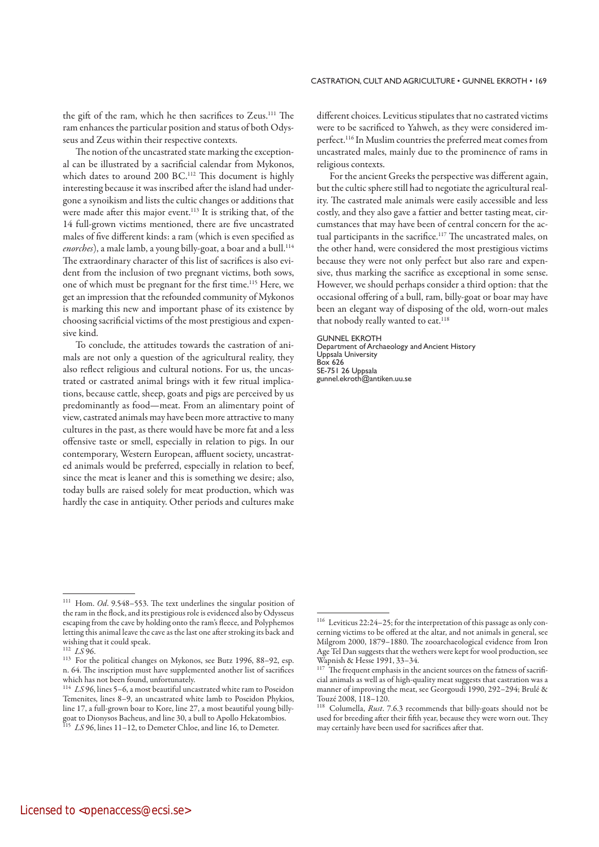the gift of the ram, which he then sacrifices to Zeus.<sup>111</sup> The ram enhances the particular position and status of both Odysseus and Zeus within their respective contexts.

The notion of the uncastrated state marking the exceptional can be illustrated by a sacrificial calendar from Mykonos, which dates to around 200 BC.<sup>112</sup> This document is highly interesting because it was inscribed after the island had undergone a synoikism and lists the cultic changes or additions that were made after this major event.<sup>113</sup> It is striking that, of the 14 full-grown victims mentioned, there are five uncastrated males of five different kinds: a ram (which is even specified as enorches), a male lamb, a young billy-goat, a boar and a bull.<sup>114</sup> The extraordinary character of this list of sacrifices is also evident from the inclusion of two pregnant victims, both sows, one of which must be pregnant for the first time.115 Here, we get an impression that the refounded community of Mykonos is marking this new and important phase of its existence by choosing sacrificial victims of the most prestigious and expensive kind.

To conclude, the attitudes towards the castration of animals are not only a question of the agricultural reality, they also reflect religious and cultural notions. For us, the uncastrated or castrated animal brings with it few ritual implications, because cattle, sheep, goats and pigs are perceived by us predominantly as food—meat. From an alimentary point of view, castrated animals may have been more attractive to many cultures in the past, as there would have be more fat and a less offensive taste or smell, especially in relation to pigs. In our contemporary, Western European, affluent society, uncastrated animals would be preferred, especially in relation to beef, since the meat is leaner and this is something we desire; also, today bulls are raised solely for meat production, which was hardly the case in antiquity. Other periods and cultures make different choices. Leviticus stipulates that no castrated victims were to be sacrificed to Yahweh, as they were considered imperfect.116 In Muslim countries the preferred meat comes from uncastrated males, mainly due to the prominence of rams in religious contexts.

For the ancient Greeks the perspective was different again, but the cultic sphere still had to negotiate the agricultural reality. The castrated male animals were easily accessible and less costly, and they also gave a fattier and better tasting meat, circumstances that may have been of central concern for the actual participants in the sacrifice.<sup>117</sup> The uncastrated males, on the other hand, were considered the most prestigious victims because they were not only perfect but also rare and expensive, thus marking the sacrifice as exceptional in some sense. However, we should perhaps consider a third option: that the occasional offering of a bull, ram, billy-goat or boar may have been an elegant way of disposing of the old, worn-out males that nobody really wanted to eat.<sup>118</sup>

#### GUNNEL EKROTH

Department of Archaeology and Ancient History Uppsala University Box 626 SE-751 26 Uppsala gunnel.ekroth@antiken.uu.se

<sup>111</sup> Hom. *Od*. 9.548–553. The text underlines the singular position of the ram in the flock, and its prestigious role is evidenced also by Odysseus escaping from the cave by holding onto the ram's fleece, and Polyphemos letting this animal leave the cave as the last one after stroking its back and wishing that it could speak.

<sup>112</sup>*LS* 96.

<sup>113</sup> For the political changes on Mykonos, see Butz 1996, 88–92, esp. n. 64. The inscription must have supplemented another list of sacrifices which has not been found, unfortunately.

<sup>&</sup>lt;sup>114</sup> LS 96, lines 5-6, a most beautiful uncastrated white ram to Poseidon Temenites, lines 8–9, an uncastrated white lamb to Poseidon Phykios, line 17, a full-grown boar to Kore, line 27, a most beautiful young billygoat to Dionysos Bacheus, and line 30, a bull to Apollo Hekatombios. <sup>115</sup>*LS* 96, lines 11–12, to Demeter Chloe, and line 16, to Demeter.

<sup>116</sup> Leviticus 22:24–25; for the interpretation of this passage as only concerning victims to be offered at the altar, and not animals in general, see Milgrom 2000, 1879–1880. The zooarchaeological evidence from Iron Age Tel Dan suggests that the wethers were kept for wool production, see Wapnish & Hesse 1991, 33–34.

The frequent emphasis in the ancient sources on the fatness of sacrificial animals as well as of high-quality meat suggests that castration was a manner of improving the meat, see Georgoudi 1990, 292–294; Brulé & Touzé 2008, 118–120.

<sup>118</sup> Columella, *Rust*. 7.6.3 recommends that billy-goats should not be used for breeding after their fifth year, because they were worn out. They may certainly have been used for sacrifices after that.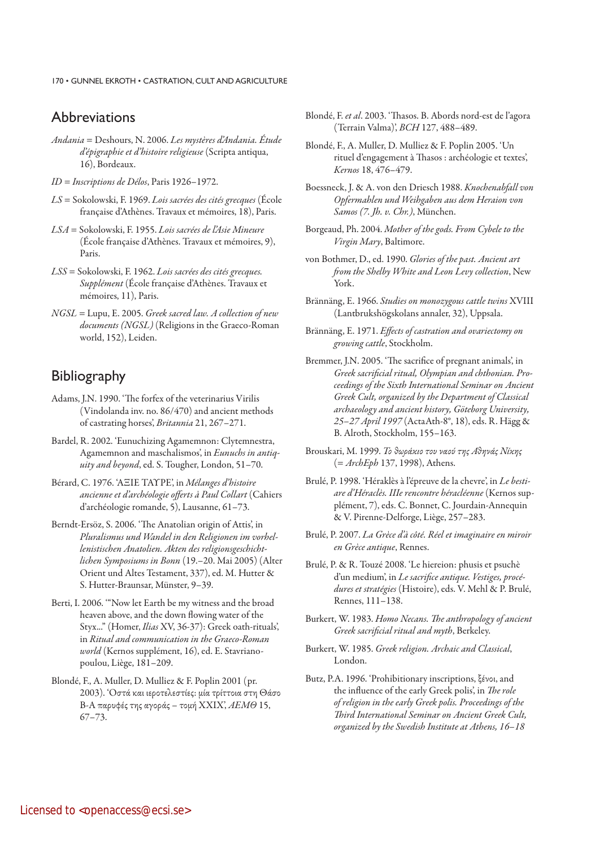170 · GUNNEL EKROTH · CASTRATION, CULT AND AGRICULTURE

# Abbreviations

- *Andania* = Deshours, N. 2006. *Les mystères d'Andania. Étude d'épigraphie et d'histoire religieuse* (Scripta antiqua, 16), Bordeaux.
- *ID* = *Inscriptions de Délos*, Paris 1926–1972.
- *LS* = Sokolowski, F. 1969. *Lois sacrées des cités grecques* (École française d'Athènes. Travaux et mémoires, 18), Paris.
- *LSA* = Sokolowski, F. 1955. *Lois sacrées de l'Asie Mineure* (École française d'Athènes. Travaux et mémoires, 9), Paris.
- *LSS* = Sokolowski, F. 1962. *Lois sacrées des cités grecques. Supplément* (École française d'Athènes. Travaux et mémoires, 11), Paris.
- *NGSL* = Lupu, E. 2005. *Greek sacred law. A collection of new documents (NGSL)* (Religions in the Graeco-Roman world, 152), Leiden.

# **Bibliography**

- Adams, J.N. 1990. 'The forfex of the veterinarius Virilis (Vindolanda inv. no. 86/470) and ancient methods of castrating horses', *Britannia* 21, 267–271.
- Bardel, R. 2002. 'Eunuchizing Agamemnon: Clytemnestra, Agamemnon and maschalismos', in *Eunuchs in antiquity and beyond*, ed. S. Tougher, London, 51–70.
- Bérard, C. 1976. 'AΞΙΕ ΤΑΥΡΕ', in *Mélanges d'histoire ancienne et d'archéologie offerts à Paul Collart* (Cahiers d'archéologie romande, 5), Lausanne, 61–73.
- Berndt-Ersöz, S. 2006. 'The Anatolian origin of Attis', in *Pluralismus und Wandel in den Religionen im vorhellenistischen Anatolien. Akten des religionsgeschichtlichen Symposiums in Bonn* (19.–20. Mai 2005) (Alter Orient und Altes Testament, 337), ed. M. Hutter & S. Hutter-Braunsar, Münster, 9–39.
- Berti, I. 2006. '"Now let Earth be my witness and the broad heaven above, and the down flowing water of the Styx..." (Homer, *Ilias* XV, 36-37): Greek oath-rituals', in *Ritual and communication in the Graeco-Roman world* (Kernos supplément, 16), ed. E. Stavrianopoulou, Liège, 181–209.
- Blondé, F., A. Muller, D. Mulliez & F. Poplin 2001 (pr. 2003). 'Oστά και ιεροτελεστίες: μία τρίττοια στη Θάσο Β-Α παρυφές της αγοράς – τομή ΧΧΙΧ', *ΑΕΜΘ* 15, 67–73.
- Blondé, F. *et al*. 2003. 'Thasos. B. Abords nord-est de l'agora (Terrain Valma)', *BCH* 127, 488–489.
- Blondé, F., A. Muller, D. Mulliez & F. Poplin 2005. 'Un rituel d'engagement à Thasos : archéologie et textes', *Kernos* 18, 476–479.
- Boessneck, J. & A. von den Driesch 1988. *Knochenabfall von Opfermahlen und Weihgaben aus dem Heraion von Samos (7. Jh. v. Chr.)*, München.
- Borgeaud, Ph. 2004. *Mother of the gods. From Cybele to the Virgin Mary*, Baltimore.
- von Bothmer, D., ed. 1990. *Glories of the past. Ancient art from the Shelby White and Leon Levy collection*, New York.
- Brännäng, E. 1966. *Studies on monozygous cattle twins* XVIII (Lantbrukshögskolans annaler, 32), Uppsala.
- Brännäng, E. 1971. *Effects of castration and ovariectomy on growing cattle*, Stockholm.
- Bremmer, J.N. 2005. 'The sacrifice of pregnant animals', in *Greek sacrificial ritual, Olympian and chthonian. Proceedings of the Sixth International Seminar on Ancient Greek Cult, organized by the Department of Classical archaeology and ancient history, Göteborg University, 25–27 April 1997* (ActaAth-8°, 18), eds. R. Hägg & B. Alroth, Stockholm, 155–163.
- Brouskari, M. 1999. *Το θωράκιο του ναού της Αθηνάς Νίκης* (= *ArchEph* 137, 1998), Athens.
- Brulé, P. 1998. 'Héraklès à l'épreuve de la chevre', in *Le bestiare d'Héraclès. IIIe rencontre héracléenne* (Kernos supplément, 7), eds. C. Bonnet, C. Jourdain-Annequin & V. Pirenne-Delforge, Liège, 257–283.
- Brulé, P. 2007. *La Grèce d'à côté. Réel et imaginaire en miroir en Grèce antique*, Rennes.
- Brulé, P. & R. Touzé 2008. 'Le hiereion: phusis et psuchè d'un medium', in *Le sacrifice antique. Vestiges, procédures et stratégies* (Histoire), eds. V. Mehl & P. Brulé, Rennes, 111–138.
- Burkert, W. 1983. *Homo Necans. The anthropology of ancient Greek sacrificial ritual and myth*, Berkeley.
- Burkert, W. 1985. *Greek religion. Archaic and Classical*, London.
- Butz, P.A. 1996. 'Prohibitionary inscriptions, ξένοι, and the influence of the early Greek polis', in *The role of religion in the early Greek polis. Proceedings of the Third International Seminar on Ancient Greek Cult, organized by the Swedish Institute at Athens, 16–18*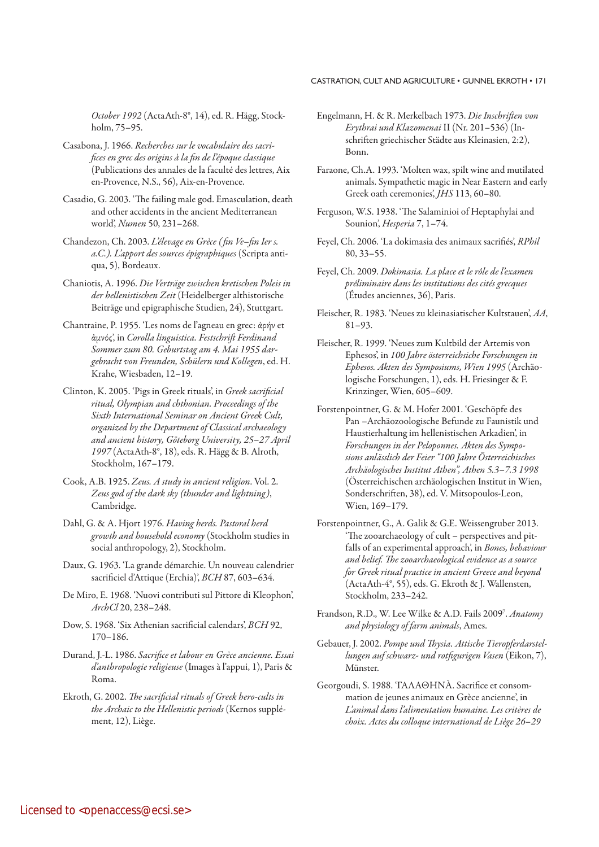*October 1992* (ActaAth-8°, 14), ed. R. Hägg, Stockholm, 75–95.

- Casabona, J. 1966. *Recherches sur le vocabulaire des sacrifices en grec des origins à la fin de l'époque classique* (Publications des annales de la faculté des lettres, Aix en-Provence, N.S., 56), Aix-en-Provence.
- Casadio, G. 2003. 'The failing male god. Emasculation, death and other accidents in the ancient Mediterranean world', *Numen* 50, 231–268.
- Chandezon, Ch. 2003. *L'élevage en Grèce ( fin Ve–fin Ier s. a.C.). L'apport des sources épigraphiques* (Scripta antiqua, 5), Bordeaux.
- Chaniotis, A. 1996. *Die Verträge zwischen kretischen Poleis in der hellenistischen Zeit* (Heidelberger althistorische Beiträge und epigraphische Studien, 24), Stuttgart.
- Chantraine, P. 1955. 'Les noms de l'agneau en grec: ἀρήν et ἀμνός', in *Corolla linguistica. Festschrift Ferdinand Sommer zum 80. Geburtstag am 4. Mai 1955 dargebracht von Freunden, Schülern und Kollegen*, ed. H. Krahe, Wiesbaden, 12–19.
- Clinton, K. 2005. 'Pigs in Greek rituals', in *Greek sacrificial ritual, Olympian and chthonian. Proceedings of the Sixth International Seminar on Ancient Greek Cult, organized by the Department of Classical archaeology and ancient history, Göteborg University, 25–27 April 1997* (ActaAth-8°, 18), eds. R. Hägg & B. Alroth, Stockholm, 167–179.
- Cook, A.B. 1925. *Zeus. A study in ancient religion*. Vol. 2. *Zeus god of the dark sky (thunder and lightning)*, Cambridge.
- Dahl, G. & A. Hjort 1976. *Having herds. Pastoral herd growth and household economy* (Stockholm studies in social anthropology, 2), Stockholm.
- Daux, G. 1963. 'La grande démarchie. Un nouveau calendrier sacrificiel d'Attique (Erchia)', *BCH* 87, 603–634.
- De Miro, E. 1968. 'Nuovi contributi sul Pittore di Kleophon', *ArchCl* 20, 238–248.
- Dow, S. 1968. 'Six Athenian sacrificial calendars', *BCH* 92, 170–186.
- Durand, J.-L. 1986. *Sacrifice et labour en Grèce ancienne. Essai d'anthropologie religieuse* (Images à l'appui, 1), Paris & Roma.
- Ekroth, G. 2002. *The sacrificial rituals of Greek hero-cults in the Archaic to the Hellenistic periods* (Kernos supplément, 12), Liège.
- Engelmann, H. & R. Merkelbach 1973. *Die Inschriften von Erythrai und Klazomenai* II (Nr. 201–536) (Inschriften griechischer Städte aus Kleinasien, 2:2), Bonn.
- Faraone, Ch.A. 1993. 'Molten wax, spilt wine and mutilated animals. Sympathetic magic in Near Eastern and early Greek oath ceremonies', *JHS* 113, 60–80.
- Ferguson, W.S. 1938. 'The Salaminioi of Heptaphylai and Sounion', *Hesperia* 7, 1–74.
- Feyel, Ch. 2006. 'La dokimasia des animaux sacrifiés', *RPhil* 80, 33–55.
- Feyel, Ch. 2009. *Dokimasia. La place et le rôle de l'examen préliminaire dans les institutions des cités grecques*  (Études anciennes, 36), Paris.
- Fleischer, R. 1983. 'Neues zu kleinasiatischer Kultstauen', *AA*, 81–93.
- Fleischer, R. 1999. 'Neues zum Kultbild der Artemis von Ephesos', in *100 Jahre österreichsiche Forschungen in Ephesos. Akten des Symposiums, Wien 1995* (Archäologische Forschungen, 1), eds. H. Friesinger & F. Krinzinger, Wien, 605–609.
- Forstenpointner, G. & M. Hofer 2001. 'Geschöpfe des Pan –Archäozoologische Befunde zu Faunistik und Haus tierhaltung im hellenistischen Arkadien', in Forschungen in der Peloponnes. Akten des Sympo*sions anlässlich der Feier "100 Jahre Österreichisches Archäologisches Institut Athen", Athen 5.3–7.3 1998* (Österreichischen archäologischen Institut in Wien, Sonderschriften, 38), ed. V. Mitsopoulos-Leon, Wien, 169–179.
- Forstenpointner, G., A. Galik & G.E. Weissengruber 2013. 'The zooarchaeology of cult – perspectives and pitfalls of an experimental approach', in *Bones, behaviour and belief. The zooarchaeological evidence as a source for Greek ritual practice in ancient Greece and beyond* (ActaAth-4°, 55), eds. G. Ekroth & J. Wallensten, Stockholm, 233–242.
- Frandson, R.D., W. Lee Wilke & A.D. Fails 2009<sup>7</sup>. Anatomy *and physiology of farm animals*, Ames.
- Gebauer, J. 2002. *Pompe und Thysia. Attische Tieropferdarstellungen auf schwarz- und rotfigurigen Vasen* (Eikon, 7), Münster.
- Georgoudi, S. 1988. 'ΓΑΛΑΘΗΝÀ. Sacrifice et consommation de jeunes animaux en Grèce ancienne', in *L'animal dans l'alimentation humaine. Les critères de choix. Actes du colloque international de Liège 26*–*29*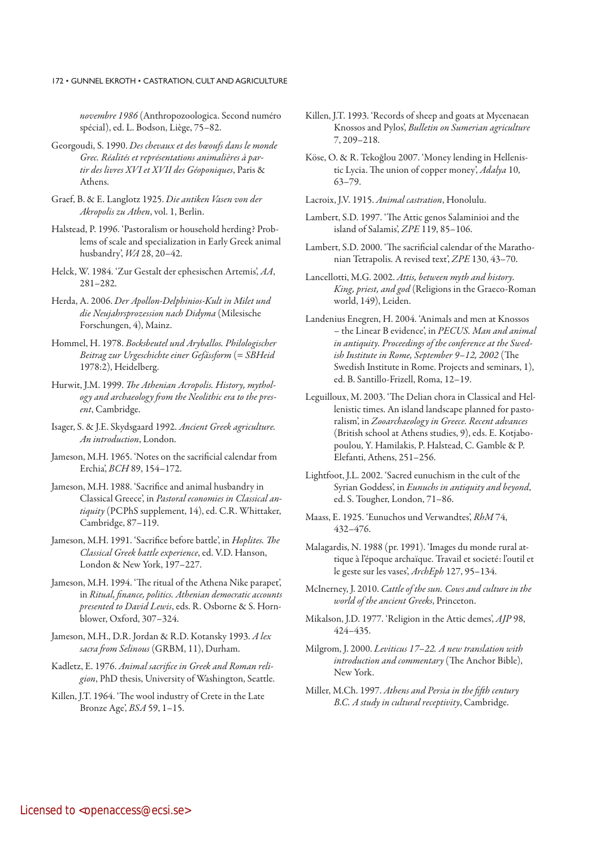### 172 • GUNNEL EKROTH • CASTRATION, CULT AND AGRICULTURE

*novembre 1986* (Anthropozoologica. Second numéro spécial), ed. L. Bodson, Liège, 75–82.

- Georgoudi, S. 1990. *Des chevaux et des bœoufs dans le monde Grec. Réalités et représentations animalières à partir des livres XVI et XVII des Géoponiques*, Paris & Athens.
- Graef, B. & E. Langlotz 1925. *Die antiken Vasen von der Akropolis zu Athen*, vol. 1, Berlin.
- Halstead, P. 1996. 'Pastoralism or household herding? Problems of scale and specialization in Early Greek animal husbandry', *WA* 28, 20–42.
- Helck, W. 1984. 'Zur Gestalt der ephesischen Artemis', *AA*, 281–282.
- Herda, A. 2006. *Der Apollon-Delphinios-Kult in Milet und die Neujahrsprozession nach Didyma* (Milesische Forschungen, 4), Mainz.
- Hommel, H. 1978. *Bocksbeutel und Aryballos. Philologischer Beitrag zur Urgeschichte einer Gefässform* (= *SBHeid* 1978:2), Heidelberg.
- Hurwit, J.M. 1999. *The Athenian Acropolis. History, mythology and archaeology from the Neolithic era to the present*, Cambridge.
- Isager, S. & J.E. Skydsgaard 1992. *Ancient Greek agriculture. An introduction*, London.
- Jameson, M.H. 1965. 'Notes on the sacrificial calendar from Erchia', *BCH* 89, 154–172.
- Jameson, M.H. 1988. 'Sacrifice and animal husbandry in Classical Greece', in *Pastoral economies in Classical antiquity* (PCPhS supplement, 14), ed. C.R. Whittaker, Cambridge, 87–119.
- Jameson, M.H. 1991. 'Sacrifice before battle', in *Hoplites. The Classical Greek battle experience*, ed. V.D. Hanson, London & New York, 197–227.
- Jameson, M.H. 1994. 'The ritual of the Athena Nike parapet', in *Ritual, finance, politics. Athenian democratic accounts presented to David Lewis*, eds. R. Osborne & S. Hornblower, Oxford, 307–324.
- Jameson, M.H., D.R. Jordan & R.D. Kotansky 1993. *A lex sacra from Selinous* (GRBM, 11), Durham.
- Kadletz, E. 1976. *Animal sacrifice in Greek and Roman religion*, PhD thesis, University of Washington, Seattle.
- Killen, J.T. 1964. 'The wool industry of Crete in the Late Bronze Age', *BSA* 59, 1–15.
- Killen, J.T. 1993. 'Records of sheep and goats at Mycenaean Knossos and Pylos', *Bulletin on Sumerian agriculture* 7, 209–218.
- Köse, O. & R. Tekoğlou 2007. 'Money lending in Hellenistic Lycia. The union of copper money', *Adalya* 10, 63–79.
- Lacroix, J.V. 1915. *Animal castration*, Honolulu.
- Lambert, S.D. 1997. 'The Attic genos Salaminioi and the island of Salamis', *ZPE* 119, 85–106.
- Lambert, S.D. 2000. 'The sacrificial calendar of the Marathonian Tetrapolis. A revised text', *ZPE* 130, 43–70.
- Lancellotti, M.G. 2002. *Attis, between myth and history. King, priest, and god* (Religions in the Graeco-Roman world, 149), Leiden.
- Landenius Enegren, H. 2004. 'Animals and men at Knossos – the Linear B evidence', in *PECUS. Man and animal in antiquity. Proceedings of the conference at the Swedish Institute in Rome, September 9–12, 2002* (The Swedish Institute in Rome. Projects and seminars, 1), ed. B. Santillo-Frizell, Roma, 12–19.
- Leguilloux, M. 2003. 'The Delian chora in Classical and Hellenistic times. An island landscape planned for pastoralism', in *Zooarchaeology in Greece. Recent advances* (British school at Athens studies, 9), eds. E. Kotjabopoulou, Y. Hamilakis, P. Halstead, C. Gamble & P. Elefanti, Athens, 251–256.
- Lightfoot, J.L. 2002. 'Sacred eunuchism in the cult of the Syrian Goddess', in *Eunuchs in antiquity and beyond*, ed. S. Tougher, London, 71–86.
- Maass, E. 1925. 'Eunuchos und Verwandtes', *RhM* 74, 432–476.
- Malagardis, N. 1988 (pr. 1991). 'Images du monde rural attique à l'époque archaïque. Travail et societé: l'outil et le geste sur les vases', *ArchEph* 127, 95–134.
- McInerney, J. 2010. *Cattle of the sun. Cows and culture in the world of the ancient Greeks*, Princeton.
- Mikalson, J.D. 1977. 'Religion in the Attic demes', *AJP* 98, 424–435.
- Milgrom, J. 2000. *Leviticus 17–22. A new translation with introduction and commentary* (The Anchor Bible), New York.
- Miller, M.Ch. 1997. *Athens and Persia in the fifth century B.C. A study in cultural receptivity*, Cambridge.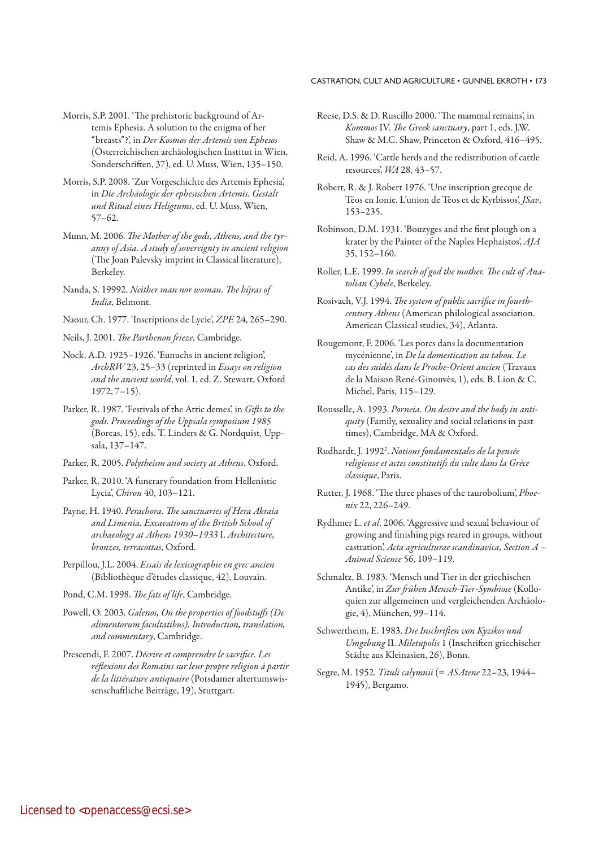- Morris, S.P. 2001. 'The prehistoric background of Artemis Ephesia. A solution to the enigma of her "breasts"?', in *Der Kosmos der Artemis von Ephesos* (Österreichischen archäologischen Institut in Wien, Sonderschriften, 37), ed. U. Muss, Wien, 135–150.
- Morris, S.P. 2008. 'Zur Vorgeschichte des Artemis Ephesia', in *Die Archäologie der ephesischen Artemis. Gestalt und Ritual eines Heligtums*, ed. U. Muss, Wien, 57–62.
- Munn, M. 2006. *The Mother of the gods, Athens, and the tyranny of Asia. A study of sovereignty in ancient religion* (The Joan Palevsky imprint in Classical literature), Berkeley.
- Nanda, S. 19992. *Neither man nor woman. The hijras of India*, Belmont.
- Naour, Ch. 1977. 'Inscriptions de Lycie', *ZPE* 24, 265–290.
- Neils, J. 2001. *The Parthenon frieze*, Cambridge.
- Nock, A.D. 1925–1926. 'Eunuchs in ancient religion', *ArchRW* 23, 25–33 (reprinted in *Essays on religion and the ancient world*, vol. 1, ed. Z. Stewart, Oxford 1972, 7–15).
- Parker, R. 1987. 'Festivals of the Attic demes', in *Gifts to the gods. Proceedings of the Uppsala symposium 1985* (Boreas, 15), eds. T. Linders & G. Nordquist, Uppsala, 137–147.
- Parker, R. 2005. *Polytheism and society at Athens*, Oxford.
- Parker, R. 2010. 'A funerary foundation from Hellenistic Lycia', *Chiron* 40, 103–121.
- Payne, H. 1940. *Perachora. The sanctuaries of Hera Akraia and Limenia. Excavations of the British School of archaeology at Athens 1930–1933* I. *Architecture, bronzes, terracottas*, Oxford.
- Perpillou, J.L. 2004. *Essais de lexicographie en grec ancien* (Bibliothèque d'études classique, 42), Louvain.
- Pond, C.M. 1998. *The fats of life*, Cambridge.
- Powell, O. 2003. *Galenos, On the properties of foodstuffs (De alimentorum facultatibus). Introduction, translation, and commentary*, Cambridge.
- Prescendi, F. 2007. *Décrire et comprendre le sacrifice. Les réflexions des Romains sur leur propre religion à partir de la littérature antiquaire* (Potsdamer altertumswissenschaftliche Beiträge, 19), Stuttgart.
- Reese, D.S. & D. Ruscillo 2000. 'The mammal remains', in *Kommos* IV. *The Greek sanctuary*, part 1, eds. J.W. Shaw & M.C. Shaw, Princeton & Oxford, 416–495.
- Reid, A. 1996. 'Cattle herds and the redistribution of cattle resources', *WA* 28, 43–57.
- Robert, R. & J. Robert 1976. 'Une inscription grecque de Téos en Ionie. L'union de Téos et de Kyrbissos', *JSav*, 153–235.
- Robinson, D.M. 1931. 'Bouzyges and the first plough on a krater by the Painter of the Naples Hephaistos', *AJA* 35, 152–160.
- Roller, L.E. 1999. *In search of god the mother. The cult of Anatolian Cybele*, Berkeley.
- Rosivach, V.J. 1994. *The system of public sacrifice in fourthcentury Athens* (American philological association. American Classical studies, 34), Atlanta.
- Rougemont, F. 2006. 'Les porcs dans la documentation mycénienne', in *De la domestication au tabou. Le cas des suidés dans le Proche-Orient ancien* (Travaux de la Maison René-Ginouvès, 1), eds. B. Lion & C. Michel, Paris, 115–129.
- Rousselle, A. 1993. *Porneia. On desire and the body in antiquity* (Family, sexuality and social relations in past times), Cambridge, MA & Oxford.
- Rudhardt, J. 19922 . *Notions fondamentales de la pensée religieuse et actes constitutifs du culte dans la Grèce classique*, Paris.
- Rutter, J. 1968. 'The three phases of the taurobolium', *Phoenix* 22, 226–249.
- Rydhmer L. *et al*. 2006. 'Aggressive and sexual behaviour of growing and finishing pigs reared in groups, without castration', *Acta agriculturae scandinavica, Section A – Animal Science* 56, 109–119.
- Schmaltz, B. 1983. 'Mensch und Tier in der griechischen Antike', in *Zur frühen Mensch-Tier-Symbiose* (Kolloquien zur allgemeinen und vergleichenden Archäologie, 4), München, 99–114.
- Schwertheim, E. 1983. *Die Inschriften von Kyzikos und Umgebung* II. *Miletupolis* 1 (Inschriften griechischer Städte aus Kleinasien, 26), Bonn.
- Segre, M. 1952. *Tituli calymnii* (= *ASAtene* 22–23, 1944– 1945), Bergamo.